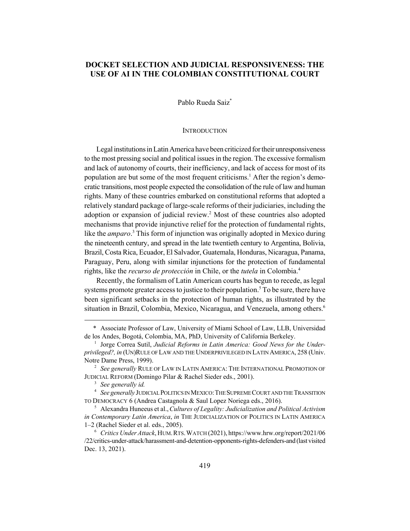# **DOCKET SELECTION AND JUDICIAL RESPONSIVENESS: THE USE OF AI IN THE COLOMBIAN CONSTITUTIONAL COURT**

Pablo Rueda Saiz\*

#### **INTRODUCTION**

Legal institutions in Latin America have been criticized for their unresponsiveness to the most pressing social and political issues in the region. The excessive formalism and lack of autonomy of courts, their inefficiency, and lack of access for most of its population are but some of the most frequent criticisms.<sup>1</sup> After the region's democratic transitions, most people expected the consolidation of the rule of law and human rights. Many of these countries embarked on constitutional reforms that adopted a relatively standard package of large-scale reforms of their judiciaries, including the adoption or expansion of judicial review.<sup>2</sup> Most of these countries also adopted mechanisms that provide injunctive relief for the protection of fundamental rights, like the *amparo*. 3 This form of injunction was originally adopted in Mexico during the nineteenth century, and spread in the late twentieth century to Argentina, Bolivia, Brazil, Costa Rica, Ecuador, El Salvador, Guatemala, Honduras, Nicaragua, Panama, Paraguay, Peru, along with similar injunctions for the protection of fundamental rights, like the *recurso de protección* in Chile, or the *tutela* in Colombia.4

Recently, the formalism of Latin American courts has begun to recede, as legal systems promote greater access to justice to their population.<sup>5</sup> To be sure, there have been significant setbacks in the protection of human rights, as illustrated by the situation in Brazil, Colombia, Mexico, Nicaragua, and Venezuela, among others.<sup>6</sup>

<sup>3</sup> *See generally id.*

<sup>4</sup> *See generally* JUDICIAL POLITICS IN MEXICO:THE SUPREME COURT AND THE TRANSITION TO DEMOCRACY 6 (Andrea Castagnola & Saul Lopez Noriega eds., 2016).

<sup>5</sup> Alexandra Huneeus et al.,*Cultures of Legality: Judicialization and Political Activism in Contemporary Latin America*, *in* THE JUDICIALIZATION OF POLITICS IN LATIN AMERICA 1–2 (Rachel Sieder et al. eds., 2005).

<sup>6</sup> *Critics Under Attack*, HUM.RTS.WATCH (2021), https://www.hrw.org/report/2021/06 /22/critics-under-attack/harassment-and-detention-opponents-rights-defenders-and (last visited Dec. 13, 2021).

<sup>\*</sup> Associate Professor of Law, University of Miami School of Law, LLB, Universidad de los Andes, Bogotá, Colombia, MA, PhD, University of California Berkeley.

<sup>&</sup>lt;sup>1</sup> Jorge Correa Sutil, *Judicial Reforms in Latin America: Good News for the Underprivileged?, in* (UN)RULE OF LAW AND THE UNDERPRIVILEGED IN LATIN AMERICA, 258 (Univ. Notre Dame Press, 1999).

<sup>2</sup> *See generally* RULE OF LAW IN LATIN AMERICA: THE INTERNATIONAL PROMOTION OF JUDICIAL REFORM (Domingo Pilar & Rachel Sieder eds., 2001).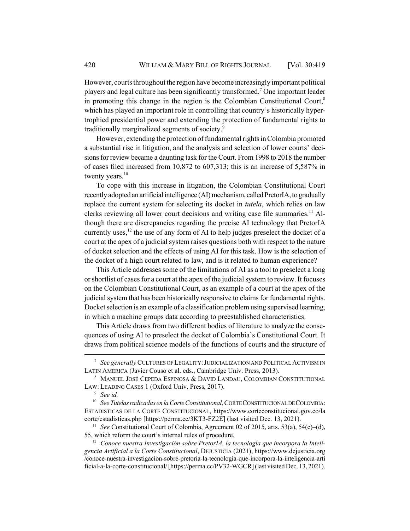However, courts throughout the region have become increasingly important political players and legal culture has been significantly transformed.<sup>7</sup> One important leader in promoting this change in the region is the Colombian Constitutional Court, $\delta$ which has played an important role in controlling that country's historically hypertrophied presidential power and extending the protection of fundamental rights to traditionally marginalized segments of society.9

However, extending the protection of fundamental rights in Colombia promoted a substantial rise in litigation, and the analysis and selection of lower courts' decisions for review became a daunting task for the Court. From 1998 to 2018 the number of cases filed increased from 10,872 to 607,313; this is an increase of 5,587% in twenty years. $10$ 

To cope with this increase in litigation, the Colombian Constitutional Court recently adopted an artificial intelligence (AI) mechanism, called PretorIA, to gradually replace the current system for selecting its docket in *tutela*, which relies on law clerks reviewing all lower court decisions and writing case file summaries.<sup>11</sup> Although there are discrepancies regarding the precise AI technology that PretorIA currently uses, $^{12}$  the use of any form of AI to help judges preselect the docket of a court at the apex of a judicial system raises questions both with respect to the nature of docket selection and the effects of using AI for this task. How is the selection of the docket of a high court related to law, and is it related to human experience?

This Article addresses some of the limitations of AI as a tool to preselect a long or shortlist of cases for a court at the apex of the judicial system to review. It focuses on the Colombian Constitutional Court, as an example of a court at the apex of the judicial system that has been historically responsive to claims for fundamental rights. Docket selection is an example of a classification problem using supervised learning, in which a machine groups data according to preestablished characteristics.

This Article draws from two different bodies of literature to analyze the consequences of using AI to preselect the docket of Colombia's Constitutional Court. It draws from political science models of the functions of courts and the structure of

<sup>7</sup> *See generally* CULTURES OF LEGALITY:JUDICIALIZATION AND POLITICAL ACTIVISM IN LATIN AMERICA (Javier Couso et al. eds., Cambridge Univ. Press, 2013).

<sup>8</sup> MANUEL JOSÉ CEPEDA ESPINOSA & DAVID LANDAU, COLOMBIAN CONSTITUTIONAL LAW: LEADING CASES 1 (Oxford Univ. Press, 2017).

<sup>9</sup> *See id.*

<sup>10</sup> *SeeTutelas radicadas en la Corte Constitutional*, CORTE CONSTITUCIONAL DE COLOMBIA: ESTADISTICAS DE LA CORTE CONSTITUCIONAL, https://www.corteconstitucional.gov.co/la corte/estadisticas.php [https://perma.cc/3KT3-FZ2E] (last visited Dec. 13, 2021).

<sup>&</sup>lt;sup>11</sup> *See* Constitutional Court of Colombia, Agreement 02 of 2015, arts. 53(a), 54(c)–(d), 55, which reform the court's internal rules of procedure.

<sup>&</sup>lt;sup>12</sup> Conoce nuestra Investigación sobre PretorIA, la tecnología que incorpora la Inteli*gencia Artificial a la Corte Constitucional*, DEJUSTICIA (2021), https://www.dejusticia.org /conoce-nuestra-investigacion-sobre-pretoria-la-tecnologia-que-incorpora-la-inteligencia-arti ficial-a-la-corte-constitucional/ [https://perma.cc/PV32-WGCR] (last visited Dec. 13, 2021).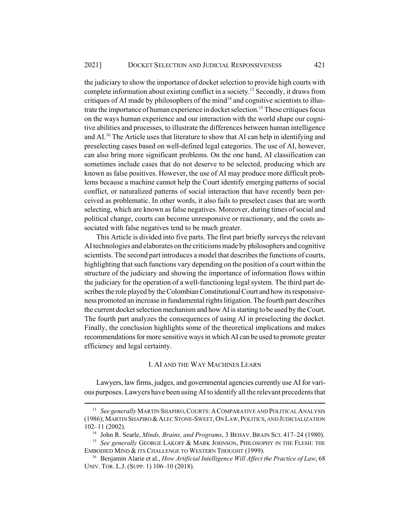the judiciary to show the importance of docket selection to provide high courts with complete information about existing conflict in a society.<sup>13</sup> Secondly, it draws from critiques of AI made by philosophers of the mind<sup>14</sup> and cognitive scientists to illustrate the importance of human experience in docket selection.<sup>15</sup> These critiques focus on the ways human experience and our interaction with the world shape our cognitive abilities and processes, to illustrate the differences between human intelligence and AI.<sup>16</sup> The Article uses that literature to show that AI can help in identifying and preselecting cases based on well-defined legal categories. The use of AI, however, can also bring more significant problems. On the one hand, AI classification can sometimes include cases that do not deserve to be selected, producing which are known as false positives. However, the use of AI may produce more difficult problems because a machine cannot help the Court identify emerging patterns of social conflict, or naturalized patterns of social interaction that have recently been perceived as problematic. In other words, it also fails to preselect cases that are worth selecting, which are known as false negatives. Moreover, during times of social and political change, courts can become unresponsive or reactionary, and the costs associated with false negatives tend to be much greater.

This Article is divided into five parts. The first part briefly surveys the relevant AI technologies and elaborates on the criticisms made by philosophers and cognitive scientists. The second part introduces a model that describes the functions of courts, highlighting that such functions vary depending on the position of a court within the structure of the judiciary and showing the importance of information flows within the judiciary for the operation of a well-functioning legal system. The third part describes the role played by the Colombian Constitutional Court and how its responsiveness promoted an increase in fundamental rights litigation. The fourth part describes the current docket selection mechanism and how AI is starting to be used by the Court. The fourth part analyzes the consequences of using AI in preselecting the docket. Finally, the conclusion highlights some of the theoretical implications and makes recommendations for more sensitive ways in which AI can be used to promote greater efficiency and legal certainty.

## I. AI AND THE WAY MACHINES LEARN

Lawyers, law firms, judges, and governmental agencies currently use AI for various purposes. Lawyers have been using AI to identify all the relevant precedents that

<sup>&</sup>lt;sup>13</sup> *See generally* MARTIN SHAPIRO, COURTS: A COMPARATIVE AND POLITICAL ANALYSIS (1986); MARTIN SHAPIRO &ALEC STONE-SWEET,ON LAW, POLITICS, AND JUDICIALIZATION 102–11 (2002).

<sup>14</sup> John R. Searle, *Minds, Brains, and Programs*, 3 BEHAV. BRAIN SCI. 417–24 (1980).

<sup>&</sup>lt;sup>15</sup> See generally GEORGE LAKOFF & MARK JOHNSON, PHILOSOPHY IN THE FLESH: THE EMBODIED MIND & ITS CHALLENGE TO WESTERN THOUGHT (1999).

<sup>16</sup> Benjamin Alarie et al., *How Artificial Intelligence Will Affect the Practice of Law*, 68 UNIV. TOR. L.J. (SUPP. 1) 106–10 (2018).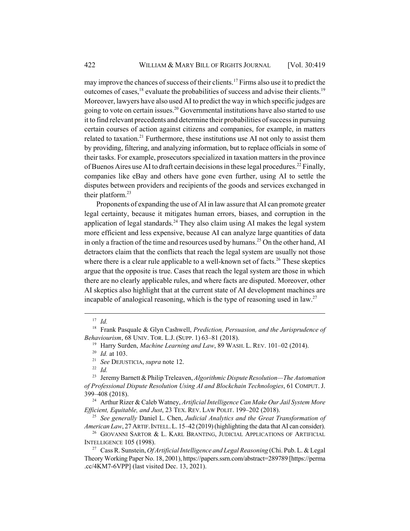may improve the chances of success of their clients.17 Firms also use it to predict the outcomes of cases, $^{18}$  evaluate the probabilities of success and advise their clients.<sup>19</sup> Moreover, lawyers have also used AI to predict the way in which specific judges are going to vote on certain issues.<sup>20</sup> Governmental institutions have also started to use it to find relevant precedents and determine their probabilities of success in pursuing certain courses of action against citizens and companies, for example, in matters related to taxation.<sup>21</sup> Furthermore, these institutions use AI not only to assist them by providing, filtering, and analyzing information, but to replace officials in some of their tasks. For example, prosecutors specialized in taxation matters in the province of Buenos Aires use AI to draft certain decisions in these legal procedures.<sup>22</sup> Finally, companies like eBay and others have gone even further, using AI to settle the disputes between providers and recipients of the goods and services exchanged in their platform.<sup>23</sup>

Proponents of expanding the use of AI in law assure that AI can promote greater legal certainty, because it mitigates human errors, biases, and corruption in the application of legal standards.<sup>24</sup> They also claim using AI makes the legal system more efficient and less expensive, because AI can analyze large quantities of data in only a fraction of the time and resources used by humans.<sup>25</sup> On the other hand, AI detractors claim that the conflicts that reach the legal system are usually not those where there is a clear rule applicable to a well-known set of facts.<sup>26</sup> These skeptics argue that the opposite is true. Cases that reach the legal system are those in which there are no clearly applicable rules, and where facts are disputed. Moreover, other AI skeptics also highlight that at the current state of AI development machines are incapable of analogical reasoning, which is the type of reasoning used in law.<sup>27</sup>

<sup>22</sup> *Id.*

<sup>24</sup> Arthur Rizer & Caleb Watney, *Artificial Intelligence Can Make Our Jail System More Efficient, Equitable, and Just*, 23 TEX. REV. LAW POLIT. 199–202 (2018).

<sup>25</sup> *See generally* Daniel L. Chen, *Judicial Analytics and the Great Transformation of American Law*, 27 ARTIF.INTELL.L. 15–42 (2019) (highlighting the data that AI can consider).

 $26$  GIOVANNI SARTOR & L. KARL BRANTING, JUDICIAL APPLICATIONS OF ARTIFICIAL INTELLIGENCE 105 (1998).

<sup>27</sup> Cass R. Sunstein, *Of Artificial Intelligence and Legal Reasoning* (Chi. Pub. L. & Legal Theory Working Paper No. 18, 2001), https://papers.ssrn.com/abstract=289789 [https://perma .cc/4KM7-6VPP] (last visited Dec. 13, 2021).

<sup>17</sup> *Id.*

<sup>18</sup> Frank Pasquale & Glyn Cashwell, *Prediction, Persuasion, and the Jurisprudence of Behaviourism*, 68 UNIV. TOR. L.J. (SUPP. 1) 63–81 (2018).

<sup>19</sup> Harry Surden, *Machine Learning and Law*, 89 WASH. L. REV. 101–02 (2014).

<sup>20</sup> *Id.* at 103.

<sup>21</sup> *See* DEJUSTICIA, *supra* note 12.

<sup>23</sup> Jeremy Barnett & Philip Treleaven, *Algorithmic Dispute Resolution—The Automation of Professional Dispute Resolution Using AI and Blockchain Technologies*, 61 COMPUT. J. 399–408 (2018).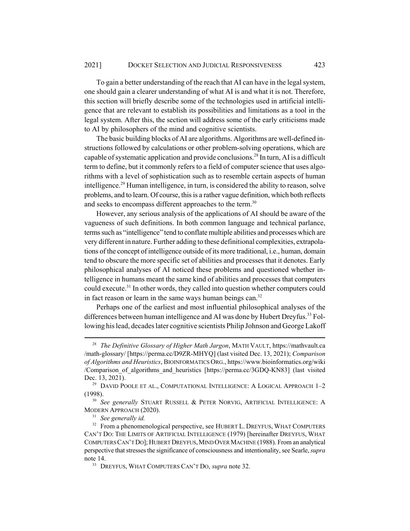To gain a better understanding of the reach that AI can have in the legal system, one should gain a clearer understanding of what AI is and what it is not. Therefore, this section will briefly describe some of the technologies used in artificial intelligence that are relevant to establish its possibilities and limitations as a tool in the legal system. After this, the section will address some of the early criticisms made to AI by philosophers of the mind and cognitive scientists.

The basic building blocks of AI are algorithms. Algorithms are well-defined instructions followed by calculations or other problem-solving operations, which are capable of systematic application and provide conclusions.<sup>28</sup> In turn, AI is a difficult term to define, but it commonly refers to a field of computer science that uses algorithms with a level of sophistication such as to resemble certain aspects of human intelligence.<sup>29</sup> Human intelligence, in turn, is considered the ability to reason, solve problems, and to learn. Of course, this is a rather vague definition, which both reflects and seeks to encompass different approaches to the term.<sup>30</sup>

However, any serious analysis of the applications of AI should be aware of the vagueness of such definitions. In both common language and technical parlance, terms such as "intelligence" tend to conflate multiple abilities and processes which are very different in nature. Further adding to these definitional complexities, extrapolations of the concept of intelligence outside of its more traditional, i.e., human, domain tend to obscure the more specific set of abilities and processes that it denotes. Early philosophical analyses of AI noticed these problems and questioned whether intelligence in humans meant the same kind of abilities and processes that computers could execute.<sup>31</sup> In other words, they called into question whether computers could in fact reason or learn in the same ways human beings can. $32$ 

Perhaps one of the earliest and most influential philosophical analyses of the differences between human intelligence and AI was done by Hubert Dreyfus.<sup>33</sup> Following his lead, decades later cognitive scientists Philip Johnson and George Lakoff

<sup>28</sup> *The Definitive Glossary of Higher Math Jargon*, MATH VAULT, https://mathvault.ca /math-glossary/ [https://perma.cc/D9ZR-MHYQ] (last visited Dec. 13, 2021); *Comparison of Algorithms and Heuristics*, BIOINFORMATICS ORG., https://www.bioinformatics.org/wiki /Comparison\_of\_algorithms\_and\_heuristics [https://perma.cc/3GDQ-KN83] (last visited Dec. 13, 2021).

 $29$  DAVID POOLE ET AL., COMPUTATIONAL INTELLIGENCE: A LOGICAL APPROACH  $1-2$ (1998).

<sup>30</sup> *See generally* STUART RUSSELL & PETER NORVIG, ARTIFICIAL INTELLIGENCE: A MODERN APPROACH (2020).

<sup>31</sup> *See generally id.*

<sup>&</sup>lt;sup>32</sup> From a phenomenological perspective, see HUBERT L. DREYFUS, WHAT COMPUTERS CAN'T DO: THE LIMITS OF ARTIFICIAL INTELLIGENCE (1979) [hereinafter DREYFUS, WHAT COMPUTERS CAN'T DO]; HUBERT DREYFUS,MIND OVER MACHINE (1988). From an analytical perspective that stresses the significance of consciousness and intentionality, see Searle, *supra* note 14.

<sup>33</sup> DREYFUS, WHAT COMPUTERS CAN'T DO, *supra* note 32.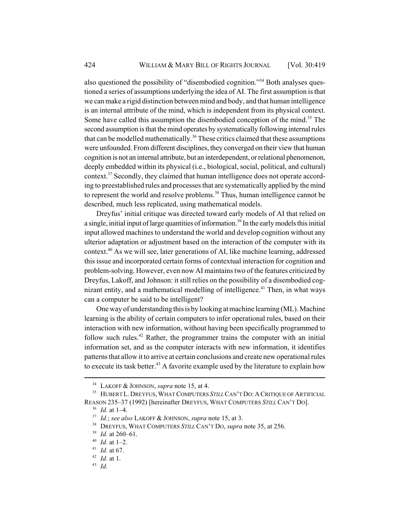also questioned the possibility of "disembodied cognition."34 Both analyses questioned a series of assumptions underlying the idea of AI. The first assumption is that we can make a rigid distinction between mind and body, and that human intelligence is an internal attribute of the mind, which is independent from its physical context. Some have called this assumption the disembodied conception of the mind.<sup>35</sup> The second assumption is that the mind operates by systematically following internal rules that can be modelled mathematically.<sup>36</sup> These critics claimed that these assumptions were unfounded. From different disciplines, they converged on their view that human cognition is not an internal attribute, but an interdependent, or relational phenomenon, deeply embedded within its physical (i.e., biological, social, political, and cultural) context.<sup>37</sup> Secondly, they claimed that human intelligence does not operate according to preestablished rules and processes that are systematically applied by the mind to represent the world and resolve problems.<sup>38</sup> Thus, human intelligence cannot be described, much less replicated, using mathematical models.

Dreyfus' initial critique was directed toward early models of AI that relied on a single, initial input of large quantities of information.<sup>39</sup> In the early models this initial input allowed machines to understand the world and develop cognition without any ulterior adaptation or adjustment based on the interaction of the computer with its context.40 As we will see, later generations of AI, like machine learning, addressed this issue and incorporated certain forms of contextual interaction for cognition and problem-solving. However, even now AI maintains two of the features criticized by Dreyfus, Lakoff, and Johnson: it still relies on the possibility of a disembodied cognizant entity, and a mathematical modelling of intelligence.<sup>41</sup> Then, in what ways can a computer be said to be intelligent?

One way of understanding this is by looking at machine learning (ML). Machine learning is the ability of certain computers to infer operational rules, based on their interaction with new information, without having been specifically programmed to follow such rules.<sup>42</sup> Rather, the programmer trains the computer with an initial information set, and as the computer interacts with new information, it identifies patterns that allow it to arrive at certain conclusions and create new operational rules to execute its task better.<sup>43</sup> A favorite example used by the literature to explain how

<sup>34</sup> LAKOFF & JOHNSON, *supra* note 15, at 4.

<sup>&</sup>lt;sup>35</sup> HUBERT L. DREYFUS, WHAT COMPUTERS *STILL* CAN'T DO: A CRITIQUE OF ARTIFICIAL REASON 235–37 (1992) [hereinafter DREYFUS, WHAT COMPUTERS *STILL* CAN'T DO].

<sup>36</sup> *Id.* at 1–4.

<sup>37</sup> *Id.*; *see also* LAKOFF & JOHNSON, *supra* note 15, at 3.

<sup>38</sup> DREYFUS, WHAT COMPUTERS *STILL* CAN'T DO, *supra* note 35, at 256.

<sup>39</sup> *Id.* at 260–61.

<sup>40</sup> *Id.* at 1–2.

<sup>41</sup> *Id.* at 67.

<sup>42</sup> *Id.* at 1.

<sup>43</sup> *Id.*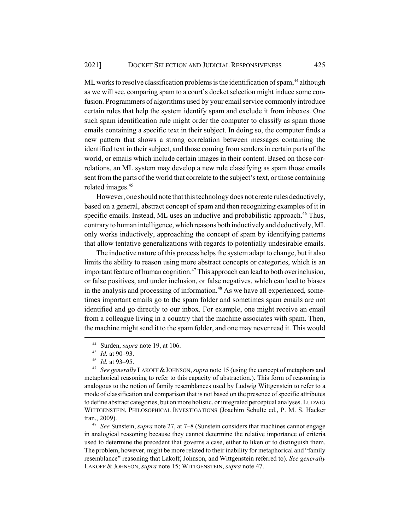ML works to resolve classification problems is the identification of spam,<sup>44</sup> although as we will see, comparing spam to a court's docket selection might induce some confusion. Programmers of algorithms used by your email service commonly introduce certain rules that help the system identify spam and exclude it from inboxes. One such spam identification rule might order the computer to classify as spam those emails containing a specific text in their subject. In doing so, the computer finds a new pattern that shows a strong correlation between messages containing the identified text in their subject, and those coming from senders in certain parts of the world, or emails which include certain images in their content. Based on those correlations, an ML system may develop a new rule classifying as spam those emails sent from the parts of the world that correlate to the subject's text, or those containing related images.<sup>45</sup>

However, one should note that this technology does not create rules deductively, based on a general, abstract concept of spam and then recognizing examples of it in specific emails. Instead, ML uses an inductive and probabilistic approach.<sup>46</sup> Thus, contrary to human intelligence, which reasons both inductively and deductively, ML only works inductively, approaching the concept of spam by identifying patterns that allow tentative generalizations with regards to potentially undesirable emails.

The inductive nature of this process helps the system adapt to change, but it also limits the ability to reason using more abstract concepts or categories, which is an important feature of human cognition.<sup>47</sup> This approach can lead to both overinclusion, or false positives, and under inclusion, or false negatives, which can lead to biases in the analysis and processing of information.<sup>48</sup> As we have all experienced, sometimes important emails go to the spam folder and sometimes spam emails are not identified and go directly to our inbox. For example, one might receive an email from a colleague living in a country that the machine associates with spam. Then, the machine might send it to the spam folder, and one may never read it. This would

<sup>44</sup> Surden, *supra* note 19, at 106.

<sup>45</sup> *Id.* at 90–93.

<sup>46</sup> *Id.* at 93–95.

<sup>47</sup> *See generally* LAKOFF &JOHNSON, *supra* note 15 (using the concept of metaphors and metaphorical reasoning to refer to this capacity of abstraction.). This form of reasoning is analogous to the notion of family resemblances used by Ludwig Wittgenstein to refer to a mode of classification and comparison that is not based on the presence of specific attributes to define abstract categories, but on more holistic, or integrated perceptual analyses. LUDWIG WITTGENSTEIN, PHILOSOPHICAL INVESTIGATIONS (Joachim Schulte ed., P. M. S. Hacker tran., 2009).

<sup>48</sup> *See* Sunstein, *supra* note 27, at 7–8 (Sunstein considers that machines cannot engage in analogical reasoning because they cannot determine the relative importance of criteria used to determine the precedent that governs a case, either to liken or to distinguish them. The problem, however, might be more related to their inability for metaphorical and "family resemblance" reasoning that Lakoff, Johnson, and Wittgenstein referred to). *See generally* LAKOFF & JOHNSON, *supra* note 15; WITTGENSTEIN, *supra* note 47.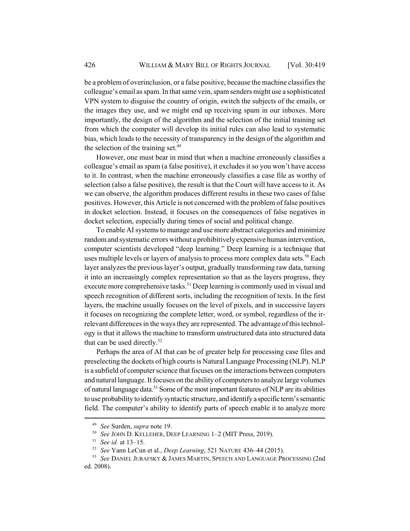be a problem of overinclusion, or a false positive, because the machine classifies the colleague's email as spam. In that same vein, spam senders might use a sophisticated VPN system to disguise the country of origin, switch the subjects of the emails, or the images they use, and we might end up receiving spam in our inboxes. More importantly, the design of the algorithm and the selection of the initial training set from which the computer will develop its initial rules can also lead to systematic bias, which leads to the necessity of transparency in the design of the algorithm and the selection of the training set. $49$ 

However, one must bear in mind that when a machine erroneously classifies a colleague's email as spam (a false positive), it excludes it so you won't have access to it. In contrast, when the machine erroneously classifies a case file as worthy of selection (also a false positive), the result is that the Court will have access to it. As we can observe, the algorithm produces different results in these two cases of false positives. However, this Article is not concerned with the problem of false positives in docket selection. Instead, it focuses on the consequences of false negatives in docket selection, especially during times of social and political change.

To enable AI systems to manage and use more abstract categories and minimize random and systematic errors without a prohibitively expensive human intervention, computer scientists developed "deep learning." Deep learning is a technique that uses multiple levels or layers of analysis to process more complex data sets.<sup>50</sup> Each layer analyzes the previous layer's output, gradually transforming raw data, turning it into an increasingly complex representation so that as the layers progress, they execute more comprehensive tasks.<sup>51</sup> Deep learning is commonly used in visual and speech recognition of different sorts, including the recognition of texts. In the first layers, the machine usually focuses on the level of pixels, and in successive layers it focuses on recognizing the complete letter, word, or symbol, regardless of the irrelevant differences in the ways they are represented. The advantage of this technology is that it allows the machine to transform unstructured data into structured data that can be used directly. $52$ 

Perhaps the area of AI that can be of greater help for processing case files and preselecting the dockets of high courts is Natural Language Processing (NLP). NLP is a subfield of computer science that focuses on the interactions between computers and natural language. It focuses on the ability of computers to analyze large volumes of natural language data.53 Some of the most important features of NLP are its abilities to use probability to identify syntactic structure, and identify a specific term's semantic field. The computer's ability to identify parts of speech enable it to analyze more

<sup>49</sup> *See* Surden, *supra* note 19.

<sup>50</sup> *See* JOHN D. KELLEHER, DEEP LEARNING 1–2 (MIT Press, 2019).

<sup>51</sup> *See id.* at 13–15.

<sup>52</sup> *See* Yann LeCun et al., *Deep Learning*, 521 NATURE 436–44 (2015).

<sup>53</sup> *See* DANIEL JURAFSKY & JAMES MARTIN, SPEECH AND LANGUAGE PROCESSING (2nd ed. 2008).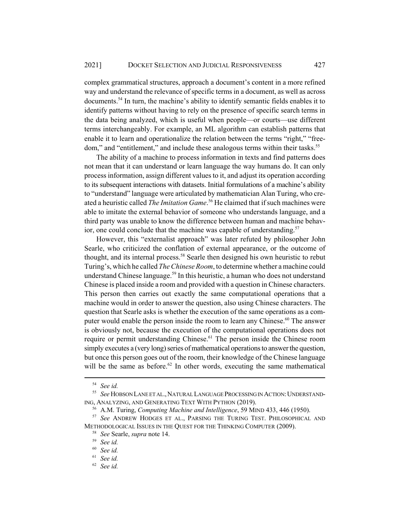complex grammatical structures, approach a document's content in a more refined way and understand the relevance of specific terms in a document, as well as across documents.54 In turn, the machine's ability to identify semantic fields enables it to identify patterns without having to rely on the presence of specific search terms in the data being analyzed, which is useful when people—or courts—use different terms interchangeably. For example, an ML algorithm can establish patterns that enable it to learn and operationalize the relation between the terms "right," "freedom," and "entitlement," and include these analogous terms within their tasks.<sup>55</sup>

The ability of a machine to process information in texts and find patterns does not mean that it can understand or learn language the way humans do. It can only process information, assign different values to it, and adjust its operation according to its subsequent interactions with datasets. Initial formulations of a machine's ability to "understand" language were articulated by mathematician Alan Turing, who created a heuristic called *The Imitation Game*. 56 He claimed that if such machines were able to imitate the external behavior of someone who understands language, and a third party was unable to know the difference between human and machine behavior, one could conclude that the machine was capable of understanding.<sup>57</sup>

However, this "externalist approach" was later refuted by philosopher John Searle, who criticized the conflation of external appearance, or the outcome of thought, and its internal process.<sup>58</sup> Searle then designed his own heuristic to rebut Turing's, which he called *The Chinese Room*, to determine whether a machine could understand Chinese language.<sup>59</sup> In this heuristic, a human who does not understand Chinese is placed inside a room and provided with a question in Chinese characters. This person then carries out exactly the same computational operations that a machine would in order to answer the question, also using Chinese characters. The question that Searle asks is whether the execution of the same operations as a computer would enable the person inside the room to learn any Chinese.<sup>60</sup> The answer is obviously not, because the execution of the computational operations does not require or permit understanding Chinese.<sup>61</sup> The person inside the Chinese room simply executes a (very long) series of mathematical operations to answer the question, but once this person goes out of the room, their knowledge of the Chinese language will be the same as before.<sup>62</sup> In other words, executing the same mathematical

<sup>54</sup> *See id.*

<sup>&</sup>lt;sup>55</sup> See HOBSON LANE ET AL., NATURAL LANGUAGE PROCESSING IN ACTION: UNDERSTAND-ING, ANALYZING, AND GENERATING TEXT WITH PYTHON (2019).

<sup>56</sup> A.M. Turing, *Computing Machine and Intelligence*, 59 MIND 433, 446 (1950).

<sup>57</sup> *See* ANDREW HODGES ET AL., PARSING THE TURING TEST. PHILOSOPHICAL AND METHODOLOGICAL ISSUES IN THE QUEST FOR THE THINKING COMPUTER (2009).

<sup>58</sup> *See* Searle, *supra* note 14.

<sup>59</sup> *See id.*

<sup>60</sup> *See id.*

<sup>61</sup> *See id.*

<sup>62</sup> *See id.*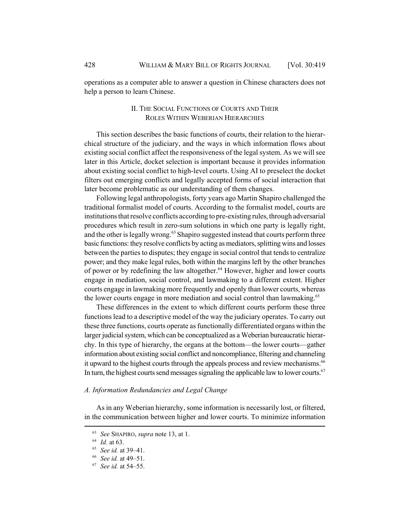operations as a computer able to answer a question in Chinese characters does not help a person to learn Chinese.

## II. THE SOCIAL FUNCTIONS OF COURTS AND THEIR ROLES WITHIN WEBERIAN HIERARCHIES

This section describes the basic functions of courts, their relation to the hierarchical structure of the judiciary, and the ways in which information flows about existing social conflict affect the responsiveness of the legal system. As we will see later in this Article, docket selection is important because it provides information about existing social conflict to high-level courts. Using AI to preselect the docket filters out emerging conflicts and legally accepted forms of social interaction that later become problematic as our understanding of them changes.

Following legal anthropologists, forty years ago Martin Shapiro challenged the traditional formalist model of courts. According to the formalist model, courts are institutions that resolve conflicts according to pre-existing rules, through adversarial procedures which result in zero-sum solutions in which one party is legally right, and the other is legally wrong.<sup>63</sup> Shapiro suggested instead that courts perform three basic functions: they resolve conflicts by acting as mediators, splitting wins and losses between the parties to disputes; they engage in social control that tends to centralize power; and they make legal rules, both within the margins left by the other branches of power or by redefining the law altogether.<sup>64</sup> However, higher and lower courts engage in mediation, social control, and lawmaking to a different extent. Higher courts engage in lawmaking more frequently and openly than lower courts, whereas the lower courts engage in more mediation and social control than lawmaking.<sup>65</sup>

These differences in the extent to which different courts perform these three functions lead to a descriptive model of the way the judiciary operates. To carry out these three functions, courts operate as functionally differentiated organs within the larger judicial system, which can be conceptualized as a Weberian bureaucratic hierarchy. In this type of hierarchy, the organs at the bottom—the lower courts—gather information about existing social conflict and noncompliance, filtering and channeling it upward to the highest courts through the appeals process and review mechanisms.<sup>66</sup> In turn, the highest courts send messages signaling the applicable law to lower courts. $67$ 

### *A. Information Redundancies and Legal Change*

As in any Weberian hierarchy, some information is necessarily lost, or filtered, in the communication between higher and lower courts. To minimize information

<sup>63</sup> *See* SHAPIRO, *supra* note 13, at 1.

<sup>64</sup> *Id.* at 63.

<sup>65</sup> *See id.* at 39–41.

<sup>66</sup> *See id.* at 49–51.

<sup>67</sup> *See id.* at 54–55.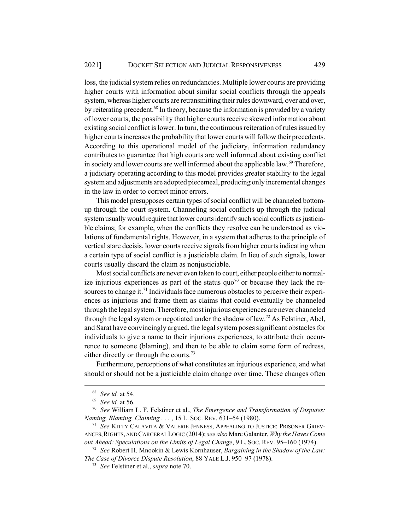loss, the judicial system relies on redundancies. Multiple lower courts are providing higher courts with information about similar social conflicts through the appeals system, whereas higher courts are retransmitting their rules downward, over and over, by reiterating precedent.<sup>68</sup> In theory, because the information is provided by a variety of lower courts, the possibility that higher courts receive skewed information about existing social conflict is lower. In turn, the continuous reiteration of rules issued by higher courts increases the probability that lower courts will follow their precedents. According to this operational model of the judiciary, information redundancy contributes to guarantee that high courts are well informed about existing conflict in society and lower courts are well informed about the applicable law.<sup>69</sup> Therefore, a judiciary operating according to this model provides greater stability to the legal system and adjustments are adopted piecemeal, producing only incremental changes in the law in order to correct minor errors.

This model presupposes certain types of social conflict will be channeled bottomup through the court system. Channeling social conflicts up through the judicial system usually would require that lower courts identify such social conflicts as justiciable claims; for example, when the conflicts they resolve can be understood as violations of fundamental rights. However, in a system that adheres to the principle of vertical stare decisis, lower courts receive signals from higher courts indicating when a certain type of social conflict is a justiciable claim. In lieu of such signals, lower courts usually discard the claim as nonjusticiable.

Most social conflicts are never even taken to court, either people either to normalize injurious experiences as part of the status quo<sup>70</sup> or because they lack the resources to change it.<sup>71</sup> Individuals face numerous obstacles to perceive their experiences as injurious and frame them as claims that could eventually be channeled through the legal system. Therefore, most injurious experiences are never channeled through the legal system or negotiated under the shadow of law.<sup>72</sup> As Felstiner, Abel, and Sarat have convincingly argued, the legal system poses significant obstacles for individuals to give a name to their injurious experiences, to attribute their occurrence to someone (blaming), and then to be able to claim some form of redress, either directly or through the courts.<sup>73</sup>

Furthermore, perceptions of what constitutes an injurious experience, and what should or should not be a justiciable claim change over time. These changes often

<sup>68</sup> *See id.* at 54.

<sup>69</sup> *See id.* at 56.

<sup>70</sup> *See* William L. F. Felstiner et al., *The Emergence and Transformation of Disputes: Naming, Blaming, Claiming . . .* , 15 L. SOC. REV. 631–54 (1980).

<sup>71</sup> *See* KITTY CALAVITA & VALERIE JENNESS, APPEALING TO JUSTICE: PRISONER GRIEV-ANCES,RIGHTS, AND CARCERAL LOGIC (2014); *see also* Marc Galanter, *Why the Haves Come out Ahead: Speculations on the Limits of Legal Change*, 9 L. SOC. REV. 95–160 (1974).

<sup>72</sup> *See* Robert H. Mnookin & Lewis Kornhauser, *Bargaining in the Shadow of the Law: The Case of Divorce Dispute Resolution*, 88 YALE L.J. 950–97 (1978).

<sup>73</sup> *See* Felstiner et al., *supra* note 70.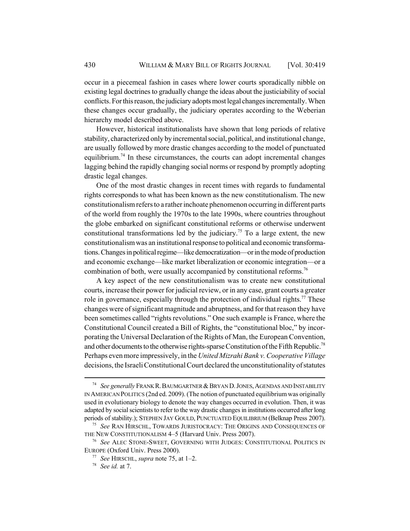occur in a piecemeal fashion in cases where lower courts sporadically nibble on existing legal doctrines to gradually change the ideas about the justiciability of social conflicts. For this reason, the judiciary adopts most legal changes incrementally. When these changes occur gradually, the judiciary operates according to the Weberian hierarchy model described above.

However, historical institutionalists have shown that long periods of relative stability, characterized only by incremental social, political, and institutional change, are usually followed by more drastic changes according to the model of punctuated equilibrium.<sup>74</sup> In these circumstances, the courts can adopt incremental changes lagging behind the rapidly changing social norms or respond by promptly adopting drastic legal changes.

One of the most drastic changes in recent times with regards to fundamental rights corresponds to what has been known as the new constitutionalism. The new constitutionalism refers to a rather inchoate phenomenon occurring in different parts of the world from roughly the 1970s to the late 1990s, where countries throughout the globe embarked on significant constitutional reforms or otherwise underwent constitutional transformations led by the judiciary.<sup>75</sup> To a large extent, the new constitutionalism was an institutional response to political and economic transformations. Changes in political regime—like democratization—or in the mode of production and economic exchange—like market liberalization or economic integration—or a combination of both, were usually accompanied by constitutional reforms.<sup>76</sup>

A key aspect of the new constitutionalism was to create new constitutional courts, increase their power for judicial review, or in any case, grant courts a greater role in governance, especially through the protection of individual rights.<sup>77</sup> These changes were of significant magnitude and abruptness, and for that reason they have been sometimes called "rights revolutions." One such example is France, where the Constitutional Council created a Bill of Rights, the "constitutional bloc," by incorporating the Universal Declaration of the Rights of Man, the European Convention, and other documents to the otherwise rights-sparse Constitution of the Fifth Republic.<sup>78</sup> Perhaps even more impressively, in the *United Mizrahi Bank v. Cooperative Village* decisions, the Israeli Constitutional Court declared the unconstitutionality of statutes

<sup>&</sup>lt;sup>74</sup> See generally FRANK R. BAUMGARTNER & BRYAN D. JONES, AGENDAS AND INSTABILITY IN AMERICAN POLITICS (2nd ed. 2009). (The notion of punctuated equilibrium was originally used in evolutionary biology to denote the way changes occurred in evolution. Then, it was adapted by social scientists to refer to the way drastic changes in institutions occurred after long periods of stability.); STEPHEN JAY GOULD, PUNCTUATED EQUILIBRIUM (Belknap Press 2007).

<sup>75</sup> *See* RAN HIRSCHL, TOWARDS JURISTOCRACY: THE ORIGINS AND CONSEQUENCES OF THE NEW CONSTITUTIONALISM 4–5 (Harvard Univ. Press 2007).

<sup>76</sup> *See* ALEC STONE-SWEET, GOVERNING WITH JUDGES: CONSTITUTIONAL POLITICS IN EUROPE (Oxford Univ. Press 2000).

<sup>77</sup> *See* HIRSCHL, *supra* note 75, at 1–2.

<sup>78</sup> *See id.* at 7.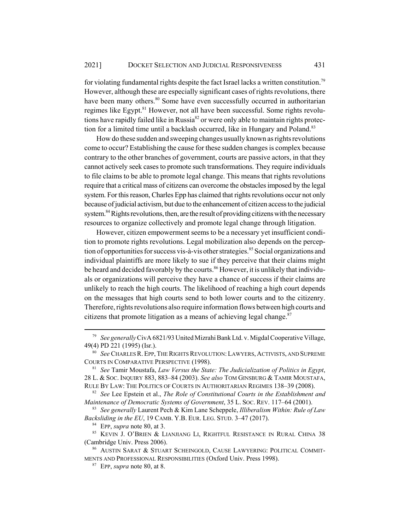for violating fundamental rights despite the fact Israel lacks a written constitution.<sup>79</sup> However, although these are especially significant cases of rights revolutions, there have been many others.<sup>80</sup> Some have even successfully occurred in authoritarian regimes like Egypt.<sup>81</sup> However, not all have been successful. Some rights revolutions have rapidly failed like in Russia<sup>82</sup> or were only able to maintain rights protection for a limited time until a backlash occurred, like in Hungary and Poland.<sup>83</sup>

How do these sudden and sweeping changes usually known as rights revolutions come to occur? Establishing the cause for these sudden changes is complex because contrary to the other branches of government, courts are passive actors, in that they cannot actively seek cases to promote such transformations. They require individuals to file claims to be able to promote legal change. This means that rights revolutions require that a critical mass of citizens can overcome the obstacles imposed by the legal system. For this reason, Charles Epp has claimed that rights revolutions occur not only because of judicial activism, but due to the enhancement of citizen access to the judicial system.<sup>84</sup> Rights revolutions, then, are the result of providing citizens with the necessary resources to organize collectively and promote legal change through litigation.

However, citizen empowerment seems to be a necessary yet insufficient condition to promote rights revolutions. Legal mobilization also depends on the perception of opportunities for success vis-à-vis other strategies.<sup>85</sup> Social organizations and individual plaintiffs are more likely to sue if they perceive that their claims might be heard and decided favorably by the courts.<sup>86</sup> However, it is unlikely that individuals or organizations will perceive they have a chance of success if their claims are unlikely to reach the high courts. The likelihood of reaching a high court depends on the messages that high courts send to both lower courts and to the citizenry. Therefore, rights revolutions also require information flows between high courts and citizens that promote litigation as a means of achieving legal change. $87$ 

<sup>79</sup> *See generally* CivA 6821/93 United Mizrahi Bank Ltd. v. Migdal Cooperative Village, 49(4) PD 221 (1995) (Isr.).

<sup>80</sup> *See* CHARLES R.EPP, THE RIGHTS REVOLUTION:LAWYERS, ACTIVISTS, AND SUPREME COURTS IN COMPARATIVE PERSPECTIVE (1998).

<sup>81</sup> *See* Tamir Moustafa, *Law Versus the State: The Judicialization of Politics in Egypt*, 28 L. & SOC. INQUIRY 883, 883–84 (2003). *See also* TOM GINSBURG & TAMIR MOUSTAFA, RULE BY LAW: THE POLITICS OF COURTS IN AUTHORITARIAN REGIMES 138–39 (2008).

<sup>82</sup> *See* Lee Epstein et al., *The Role of Constitutional Courts in the Establishment and Maintenance of Democratic Systems of Government*, 35 L. SOC. REV. 117–64 (2001).

<sup>83</sup> *See generally* Laurent Pech & Kim Lane Scheppele, *Illiberalism Within: Rule of Law Backsliding in the EU*, 19 CAMB. Y.B. EUR. LEG. STUD. 3–47 (2017).

<sup>84</sup> EPP, *supra* note 80, at 3.

<sup>85</sup> KEVIN J. O'BRIEN & LIANJIANG LI, RIGHTFUL RESISTANCE IN RURAL CHINA 38 (Cambridge Univ. Press 2006).

<sup>86</sup> AUSTIN SARAT & STUART SCHEINGOLD, CAUSE LAWYERING: POLITICAL COMMIT-MENTS AND PROFESSIONAL RESPONSIBILITIES (Oxford Univ. Press 1998).

<sup>87</sup> EPP, *supra* note 80, at 8.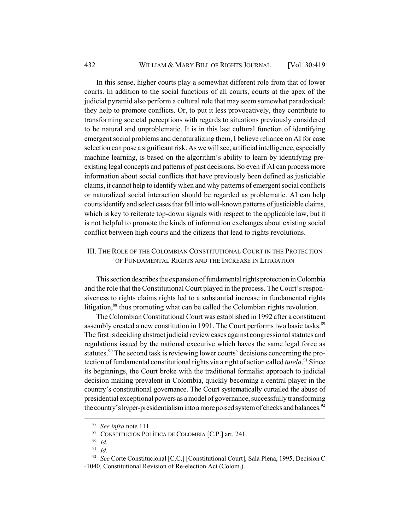In this sense, higher courts play a somewhat different role from that of lower courts. In addition to the social functions of all courts, courts at the apex of the judicial pyramid also perform a cultural role that may seem somewhat paradoxical: they help to promote conflicts. Or, to put it less provocatively, they contribute to transforming societal perceptions with regards to situations previously considered to be natural and unproblematic. It is in this last cultural function of identifying emergent social problems and denaturalizing them, I believe reliance on AI for case selection can pose a significant risk. As we will see, artificial intelligence, especially machine learning, is based on the algorithm's ability to learn by identifying preexisting legal concepts and patterns of past decisions. So even if AI can process more information about social conflicts that have previously been defined as justiciable claims, it cannot help to identify when and why patterns of emergent social conflicts or naturalized social interaction should be regarded as problematic. AI can help courts identify and select cases that fall into well-known patterns of justiciable claims, which is key to reiterate top-down signals with respect to the applicable law, but it is not helpful to promote the kinds of information exchanges about existing social conflict between high courts and the citizens that lead to rights revolutions.

## III. THE ROLE OF THE COLOMBIAN CONSTITUTIONAL COURT IN THE PROTECTION OF FUNDAMENTAL RIGHTS AND THE INCREASE IN LITIGATION

This section describes the expansion of fundamental rights protection in Colombia and the role that the Constitutional Court played in the process. The Court's responsiveness to rights claims rights led to a substantial increase in fundamental rights litigation,<sup>88</sup> thus promoting what can be called the Colombian rights revolution.

The Colombian Constitutional Court was established in 1992 after a constituent assembly created a new constitution in 1991. The Court performs two basic tasks.<sup>89</sup> The first is deciding abstract judicial review cases against congressional statutes and regulations issued by the national executive which haves the same legal force as statutes.<sup>90</sup> The second task is reviewing lower courts' decisions concerning the protection of fundamental constitutional rights via a right of action called *tutela*. 91 Since its beginnings, the Court broke with the traditional formalist approach to judicial decision making prevalent in Colombia, quickly becoming a central player in the country's constitutional governance. The Court systematically curtailed the abuse of presidential exceptional powers as a model of governance, successfully transforming the country's hyper-presidentialism into a more poised system of checks and balances.<sup>92</sup>

<sup>88</sup> *See infra* note 111.

<sup>89</sup> CONSTITUCIÓN POLÍTICA DE COLOMBIA [C.P.] art. 241.

 $\frac{90}{91}$  *Id.* 

<sup>91</sup> *Id.*

<sup>92</sup> *See* Corte Constitucional [C.C.] [Constitutional Court], Sala Plena, 1995, Decision C -1040, Constitutional Revision of Re-election Act (Colom.).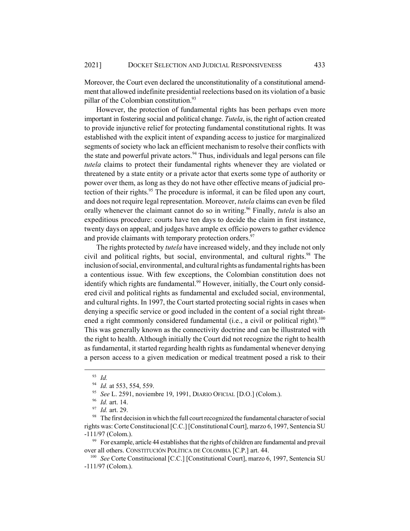Moreover, the Court even declared the unconstitutionality of a constitutional amendment that allowed indefinite presidential reelections based on its violation of a basic pillar of the Colombian constitution.<sup>93</sup>

However, the protection of fundamental rights has been perhaps even more important in fostering social and political change. *Tutela*, is, the right of action created to provide injunctive relief for protecting fundamental constitutional rights. It was established with the explicit intent of expanding access to justice for marginalized segments of society who lack an efficient mechanism to resolve their conflicts with the state and powerful private actors.<sup>94</sup> Thus, individuals and legal persons can file *tutela* claims to protect their fundamental rights whenever they are violated or threatened by a state entity or a private actor that exerts some type of authority or power over them, as long as they do not have other effective means of judicial protection of their rights.<sup>95</sup> The procedure is informal, it can be filed upon any court, and does not require legal representation. Moreover, *tutela* claims can even be filed orally whenever the claimant cannot do so in writing.<sup>96</sup> Finally, *tutela* is also an expeditious procedure: courts have ten days to decide the claim in first instance, twenty days on appeal, and judges have ample ex officio powers to gather evidence and provide claimants with temporary protection orders.<sup>97</sup>

The rights protected by *tutela* have increased widely, and they include not only civil and political rights, but social, environmental, and cultural rights.<sup>98</sup> The inclusion of social, environmental, and cultural rights as fundamental rights has been a contentious issue. With few exceptions, the Colombian constitution does not identify which rights are fundamental.<sup>99</sup> However, initially, the Court only considered civil and political rights as fundamental and excluded social, environmental, and cultural rights. In 1997, the Court started protecting social rights in cases when denying a specific service or good included in the content of a social right threatened a right commonly considered fundamental (i.e., a civil or political right).<sup>100</sup> This was generally known as the connectivity doctrine and can be illustrated with the right to health. Although initially the Court did not recognize the right to health as fundamental, it started regarding health rights as fundamental whenever denying a person access to a given medication or medical treatment posed a risk to their

<sup>93</sup> *Id.*

<sup>94</sup> *Id.* at 553, 554, 559.

<sup>95</sup> *See* L. 2591, noviembre 19, 1991, DIARIO OFICIAL [D.O.] (Colom.).

<sup>96</sup> *Id.* art. 14.

<sup>97</sup> *Id.* art. 29.

<sup>&</sup>lt;sup>98</sup> The first decision in which the full court recognized the fundamental character of social rights was: Corte Constitucional [C.C.] [Constitutional Court], marzo 6, 1997, Sentencia SU -111/97 (Colom.).

 $99$  For example, article 44 establishes that the rights of children are fundamental and prevail over all others. CONSTITUCIÓN POLÍTICA DE COLOMBIA [C.P.] art. 44.

<sup>100</sup> *See* Corte Constitucional [C.C.] [Constitutional Court], marzo 6, 1997, Sentencia SU -111/97 (Colom.).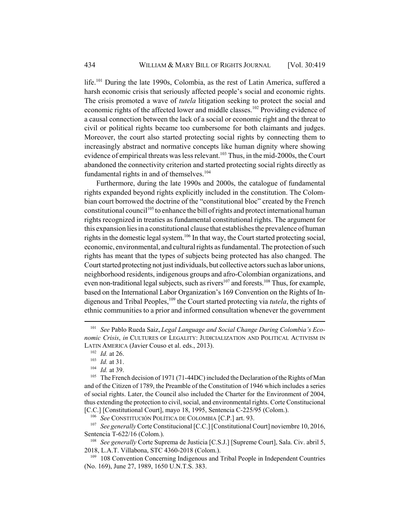life.<sup>101</sup> During the late 1990s, Colombia, as the rest of Latin America, suffered a harsh economic crisis that seriously affected people's social and economic rights. The crisis promoted a wave of *tutela* litigation seeking to protect the social and economic rights of the affected lower and middle classes.<sup>102</sup> Providing evidence of a causal connection between the lack of a social or economic right and the threat to civil or political rights became too cumbersome for both claimants and judges. Moreover, the court also started protecting social rights by connecting them to increasingly abstract and normative concepts like human dignity where showing evidence of empirical threats was less relevant.<sup>103</sup> Thus, in the mid-2000s, the Court abandoned the connectivity criterion and started protecting social rights directly as fundamental rights in and of themselves.<sup>104</sup>

Furthermore, during the late 1990s and 2000s, the catalogue of fundamental rights expanded beyond rights explicitly included in the constitution. The Colombian court borrowed the doctrine of the "constitutional bloc" created by the French constitutional council<sup>105</sup> to enhance the bill of rights and protect international human rights recognized in treaties as fundamental constitutional rights. The argument for this expansion lies in a constitutional clause that establishes the prevalence of human rights in the domestic legal system.<sup>106</sup> In that way, the Court started protecting social, economic, environmental, and cultural rights as fundamental. The protection of such rights has meant that the types of subjects being protected has also changed. The Court started protecting not just individuals, but collective actors such as labor unions, neighborhood residents, indigenous groups and afro-Colombian organizations, and even non-traditional legal subjects, such as rivers<sup>107</sup> and forests.<sup>108</sup> Thus, for example, based on the International Labor Organization's 169 Convention on the Rights of Indigenous and Tribal Peoples,<sup>109</sup> the Court started protecting via *tutela*, the rights of ethnic communities to a prior and informed consultation whenever the government

<sup>101</sup> *See* Pablo Rueda Saiz, *Legal Language and Social Change During Colombia's Economic Crisis*, *in* CULTURES OF LEGALITY: JUDICIALIZATION AND POLITICAL ACTIVISM IN LATIN AMERICA (Javier Couso et al. eds., 2013).

<sup>102</sup> *Id.* at 26.

<sup>103</sup> *Id.* at 31.

<sup>104</sup> *Id.* at 39.

<sup>&</sup>lt;sup>105</sup> The French decision of 1971 (71-44DC) included the Declaration of the Rights of Man and of the Citizen of 1789, the Preamble of the Constitution of 1946 which includes a series of social rights. Later, the Council also included the Charter for the Environment of 2004, thus extending the protection to civil, social, and environmental rights. Corte Constitucional [C.C.] [Constitutional Court], mayo 18, 1995, Sentencia C-225/95 (Colom.).

<sup>106</sup> *See* CONSTITUCIÓN POLÍTICA DE COLOMBIA [C.P.] art. 93.

<sup>&</sup>lt;sup>107</sup> *See generally* Corte Constitucional [C.C.] [Constitutional Court] noviembre 10, 2016, Sentencia T-622/16 (Colom.).

<sup>108</sup> *See generally* Corte Suprema de Justicia [C.S.J.] [Supreme Court], Sala. Civ. abril 5, 2018, L.A.T. Villabona, STC 4360-2018 (Colom.).

<sup>&</sup>lt;sup>109</sup> 108 Convention Concerning Indigenous and Tribal People in Independent Countries (No. 169), June 27, 1989, 1650 U.N.T.S. 383.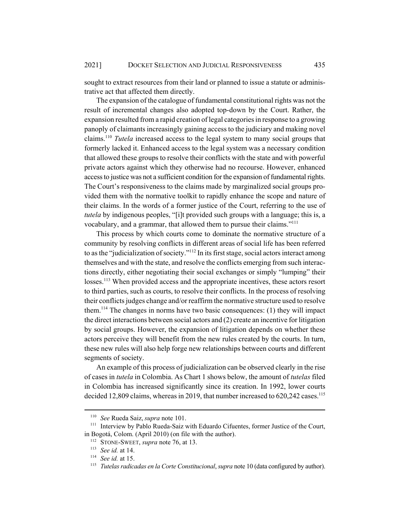sought to extract resources from their land or planned to issue a statute or administrative act that affected them directly.

The expansion of the catalogue of fundamental constitutional rights was not the result of incremental changes also adopted top-down by the Court. Rather, the expansion resulted from a rapid creation of legal categories in response to a growing panoply of claimants increasingly gaining access to the judiciary and making novel claims.110 *Tutela* increased access to the legal system to many social groups that formerly lacked it. Enhanced access to the legal system was a necessary condition that allowed these groups to resolve their conflicts with the state and with powerful private actors against which they otherwise had no recourse. However, enhanced access to justice was not a sufficient condition for the expansion of fundamental rights. The Court's responsiveness to the claims made by marginalized social groups provided them with the normative toolkit to rapidly enhance the scope and nature of their claims. In the words of a former justice of the Court, referring to the use of *tutela* by indigenous peoples, "[i]t provided such groups with a language; this is, a vocabulary, and a grammar, that allowed them to pursue their claims."111

This process by which courts come to dominate the normative structure of a community by resolving conflicts in different areas of social life has been referred to as the "judicialization of society."<sup>112</sup> In its first stage, social actors interact among themselves and with the state, and resolve the conflicts emerging from such interactions directly, either negotiating their social exchanges or simply "lumping" their losses.<sup>113</sup> When provided access and the appropriate incentives, these actors resort to third parties, such as courts, to resolve their conflicts. In the process of resolving their conflicts judges change and/or reaffirm the normative structure used to resolve them.114 The changes in norms have two basic consequences: (1) they will impact the direct interactions between social actors and (2) create an incentive for litigation by social groups. However, the expansion of litigation depends on whether these actors perceive they will benefit from the new rules created by the courts. In turn, these new rules will also help forge new relationships between courts and different segments of society.

An example of this process of judicialization can be observed clearly in the rise of cases in *tutela* in Colombia. As Chart 1 shows below, the amount of *tutelas* filed in Colombia has increased significantly since its creation. In 1992, lower courts decided 12,809 claims, whereas in 2019, that number increased to  $620,242$  cases.<sup>115</sup>

<sup>110</sup> *See* Rueda Saiz, *supra* note 101.

<sup>&</sup>lt;sup>111</sup> Interview by Pablo Rueda-Saiz with Eduardo Cifuentes, former Justice of the Court, in Bogotá, Colom. (April 2010) (on file with the author).

<sup>&</sup>lt;sup>112</sup> STONE-SWEET, *supra* note 76, at 13.

<sup>113</sup> *See id.* at 14.

<sup>114</sup> *See id.* at 15.

<sup>115</sup> *Tutelas radicadas en la Corte Constitucional*, *supra* note 10 (data configured by author).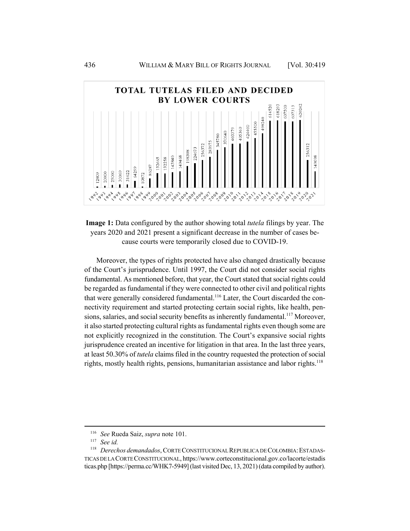

**Image 1:** Data configured by the author showing total *tutela* filings by year. The years 2020 and 2021 present a significant decrease in the number of cases because courts were temporarily closed due to COVID-19.

Moreover, the types of rights protected have also changed drastically because of the Court's jurisprudence. Until 1997, the Court did not consider social rights fundamental. As mentioned before, that year, the Court stated that social rights could be regarded as fundamental if they were connected to other civil and political rights that were generally considered fundamental.<sup>116</sup> Later, the Court discarded the connectivity requirement and started protecting certain social rights, like health, pensions, salaries, and social security benefits as inherently fundamental.<sup>117</sup> Moreover, it also started protecting cultural rights as fundamental rights even though some are not explicitly recognized in the constitution. The Court's expansive social rights jurisprudence created an incentive for litigation in that area. In the last three years, at least 50.30% of *tutela* claims filed in the country requested the protection of social rights, mostly health rights, pensions, humanitarian assistance and labor rights.<sup>118</sup>

<sup>116</sup> *See* Rueda Saiz, *supra* note 101.

<sup>117</sup> *See id.*

<sup>&</sup>lt;sup>118</sup> *Derechos demandados*, CORTE CONSTITUCIONAL REPUBLICA DE COLOMBIA: ESTADAS-TICAS DE LA CORTE CONSTITUCIONAL, https://www.corteconstitucional.gov.co/lacorte/estadis ticas.php [https://perma.cc/WHK7-5949] (last visited Dec, 13, 2021) (data compiled by author).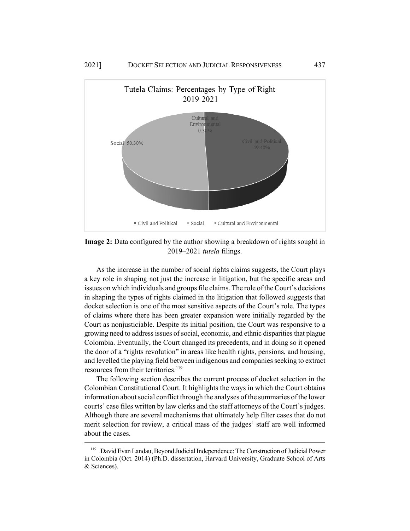

**Image 2:** Data configured by the author showing a breakdown of rights sought in 2019–2021 *tutela* filings.

As the increase in the number of social rights claims suggests, the Court plays a key role in shaping not just the increase in litigation, but the specific areas and issues on which individuals and groups file claims. The role of the Court's decisions in shaping the types of rights claimed in the litigation that followed suggests that docket selection is one of the most sensitive aspects of the Court's role. The types of claims where there has been greater expansion were initially regarded by the Court as nonjusticiable. Despite its initial position, the Court was responsive to a growing need to address issues of social, economic, and ethnic disparities that plague Colombia. Eventually, the Court changed its precedents, and in doing so it opened the door of a "rights revolution" in areas like health rights, pensions, and housing, and levelled the playing field between indigenous and companies seeking to extract resources from their territories.<sup>119</sup>

The following section describes the current process of docket selection in the Colombian Constitutional Court. It highlights the ways in which the Court obtains information about social conflict through the analyses of the summaries of the lower courts' case files written by law clerks and the staff attorneys of the Court's judges. Although there are several mechanisms that ultimately help filter cases that do not merit selection for review, a critical mass of the judges' staff are well informed about the cases.

<sup>119</sup> David Evan Landau, Beyond Judicial Independence: The Construction of Judicial Power in Colombia (Oct. 2014) (Ph.D. dissertation, Harvard University, Graduate School of Arts & Sciences).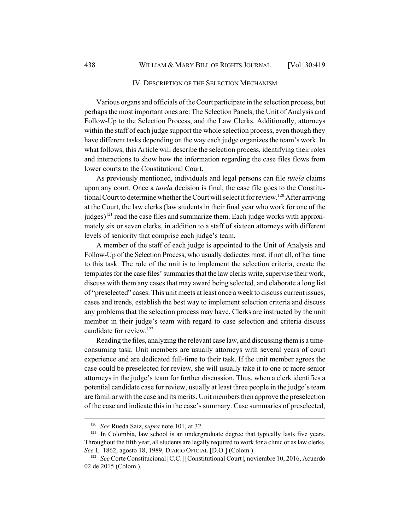#### IV. DESCRIPTION OF THE SELECTION MECHANISM

Various organs and officials of the Court participate in the selection process, but perhaps the most important ones are: The Selection Panels, the Unit of Analysis and Follow-Up to the Selection Process, and the Law Clerks. Additionally, attorneys within the staff of each judge support the whole selection process, even though they have different tasks depending on the way each judge organizes the team's work. In what follows, this Article will describe the selection process, identifying their roles and interactions to show how the information regarding the case files flows from lower courts to the Constitutional Court.

As previously mentioned, individuals and legal persons can file *tutela* claims upon any court. Once a *tutela* decision is final, the case file goes to the Constitutional Court to determine whether the Court will select it for review.<sup>120</sup> After arriving at the Court, the law clerks (law students in their final year who work for one of the judges)<sup>121</sup> read the case files and summarize them. Each judge works with approximately six or seven clerks, in addition to a staff of sixteen attorneys with different levels of seniority that comprise each judge's team.

A member of the staff of each judge is appointed to the Unit of Analysis and Follow-Up of the Selection Process, who usually dedicates most, if not all, of her time to this task. The role of the unit is to implement the selection criteria, create the templates for the case files' summaries that the law clerks write, supervise their work, discuss with them any cases that may award being selected, and elaborate a long list of "preselected" cases. This unit meets at least once a week to discuss current issues, cases and trends, establish the best way to implement selection criteria and discuss any problems that the selection process may have. Clerks are instructed by the unit member in their judge's team with regard to case selection and criteria discuss candidate for review.<sup>122</sup>

Reading the files, analyzing the relevant case law, and discussing them is a timeconsuming task. Unit members are usually attorneys with several years of court experience and are dedicated full-time to their task. If the unit member agrees the case could be preselected for review, she will usually take it to one or more senior attorneys in the judge's team for further discussion. Thus, when a clerk identifies a potential candidate case for review, usually at least three people in the judge's team are familiar with the case and its merits. Unit members then approve the preselection of the case and indicate this in the case's summary. Case summaries of preselected,

<sup>120</sup> *See* Rueda Saiz, *supra* note 101, at 32.

 $121$  In Colombia, law school is an undergraduate degree that typically lasts five years. Throughout the fifth year, all students are legally required to work for a clinic or as law clerks. *See* L. 1862, agosto 18, 1989, DIARIO OFICIAL [D.O.] (Colom.).

<sup>&</sup>lt;sup>122</sup> *See* Corte Constitucional [C.C.] [Constitutional Court], noviembre 10, 2016, Acuerdo 02 de 2015 (Colom.).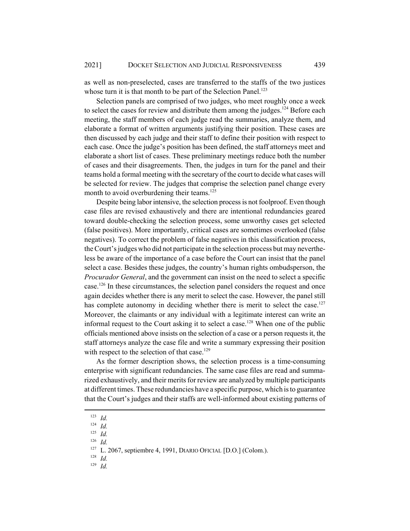as well as non-preselected, cases are transferred to the staffs of the two justices whose turn it is that month to be part of the Selection Panel.<sup>123</sup>

Selection panels are comprised of two judges, who meet roughly once a week to select the cases for review and distribute them among the judges.<sup>124</sup> Before each meeting, the staff members of each judge read the summaries, analyze them, and elaborate a format of written arguments justifying their position. These cases are then discussed by each judge and their staff to define their position with respect to each case. Once the judge's position has been defined, the staff attorneys meet and elaborate a short list of cases. These preliminary meetings reduce both the number of cases and their disagreements. Then, the judges in turn for the panel and their teams hold a formal meeting with the secretary of the court to decide what cases will be selected for review. The judges that comprise the selection panel change every month to avoid overburdening their teams.<sup>125</sup>

Despite being labor intensive, the selection process is not foolproof. Even though case files are revised exhaustively and there are intentional redundancies geared toward double-checking the selection process, some unworthy cases get selected (false positives). More importantly, critical cases are sometimes overlooked (false negatives). To correct the problem of false negatives in this classification process, the Court's judges who did not participate in the selection process but may nevertheless be aware of the importance of a case before the Court can insist that the panel select a case. Besides these judges, the country's human rights ombudsperson, the *Procurador General*, and the government can insist on the need to select a specific case.126 In these circumstances, the selection panel considers the request and once again decides whether there is any merit to select the case. However, the panel still has complete autonomy in deciding whether there is merit to select the case.<sup>127</sup> Moreover, the claimants or any individual with a legitimate interest can write an informal request to the Court asking it to select a case.<sup>128</sup> When one of the public officials mentioned above insists on the selection of a case or a person requests it, the staff attorneys analyze the case file and write a summary expressing their position with respect to the selection of that case.<sup>129</sup>

As the former description shows, the selection process is a time-consuming enterprise with significant redundancies. The same case files are read and summarized exhaustively, and their merits for review are analyzed by multiple participants at different times. These redundancies have a specific purpose, which is to guarantee that the Court's judges and their staffs are well-informed about existing patterns of

<sup>126</sup> *Id.*

<sup>123</sup> *Id.*

<sup>124</sup> *Id.*

<sup>125</sup> *Id.*

<sup>&</sup>lt;sup>127</sup> L. 2067, septiembre 4, 1991, DIARIO OFICIAL [D.O.] (Colom.).

<sup>128</sup> *Id.*

<sup>129</sup> *Id.*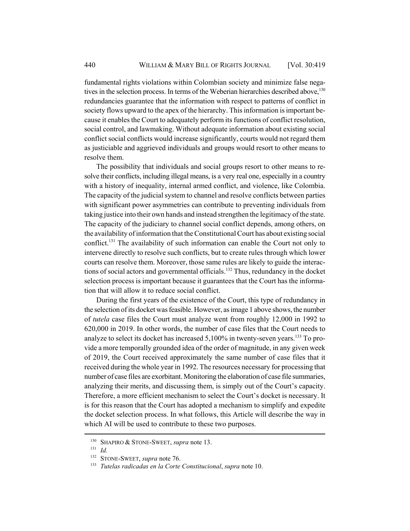fundamental rights violations within Colombian society and minimize false negatives in the selection process. In terms of the Weberian hierarchies described above,  $130$ redundancies guarantee that the information with respect to patterns of conflict in society flows upward to the apex of the hierarchy. This information is important because it enables the Court to adequately perform its functions of conflict resolution, social control, and lawmaking. Without adequate information about existing social conflict social conflicts would increase significantly, courts would not regard them as justiciable and aggrieved individuals and groups would resort to other means to resolve them.

The possibility that individuals and social groups resort to other means to resolve their conflicts, including illegal means, is a very real one, especially in a country with a history of inequality, internal armed conflict, and violence, like Colombia. The capacity of the judicial system to channel and resolve conflicts between parties with significant power asymmetries can contribute to preventing individuals from taking justice into their own hands and instead strengthen the legitimacy of the state. The capacity of the judiciary to channel social conflict depends, among others, on the availability of information that the Constitutional Court has about existing social conflict.131 The availability of such information can enable the Court not only to intervene directly to resolve such conflicts, but to create rules through which lower courts can resolve them. Moreover, those same rules are likely to guide the interactions of social actors and governmental officials.<sup>132</sup> Thus, redundancy in the docket selection process is important because it guarantees that the Court has the information that will allow it to reduce social conflict.

During the first years of the existence of the Court, this type of redundancy in the selection of its docket was feasible. However, as image 1 above shows, the number of *tutela* case files the Court must analyze went from roughly 12,000 in 1992 to 620,000 in 2019. In other words, the number of case files that the Court needs to analyze to select its docket has increased  $5,100\%$  in twenty-seven years.<sup>133</sup> To provide a more temporally grounded idea of the order of magnitude, in any given week of 2019, the Court received approximately the same number of case files that it received during the whole year in 1992. The resources necessary for processing that number of case files are exorbitant. Monitoring the elaboration of case file summaries, analyzing their merits, and discussing them, is simply out of the Court's capacity. Therefore, a more efficient mechanism to select the Court's docket is necessary. It is for this reason that the Court has adopted a mechanism to simplify and expedite the docket selection process. In what follows, this Article will describe the way in which AI will be used to contribute to these two purposes.

<sup>130</sup> SHAPIRO & STONE-SWEET, *supra* note 13.

 $\frac{131}{132}$  *Id.* 

STONE-SWEET, *supra* note 76.

<sup>133</sup> *Tutelas radicadas en la Corte Constitucional*, *supra* note 10.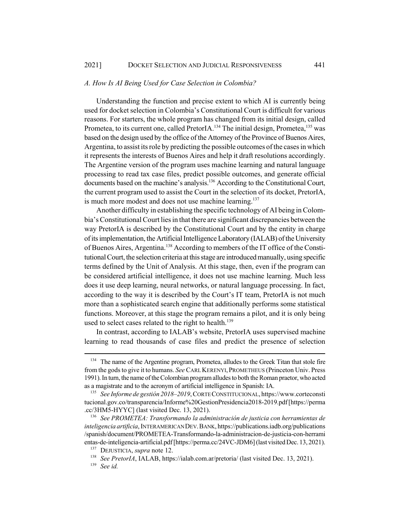#### *A. How Is AI Being Used for Case Selection in Colombia?*

Understanding the function and precise extent to which AI is currently being used for docket selection in Colombia's Constitutional Court is difficult for various reasons. For starters, the whole program has changed from its initial design, called Prometea, to its current one, called PretorIA.<sup>134</sup> The initial design, Prometea,<sup>135</sup> was based on the design used by the office of the Attorney of the Province of Buenos Aires, Argentina, to assist its role by predicting the possible outcomes of the cases in which it represents the interests of Buenos Aires and help it draft resolutions accordingly. The Argentine version of the program uses machine learning and natural language processing to read tax case files, predict possible outcomes, and generate official documents based on the machine's analysis.<sup>136</sup> According to the Constitutional Court, the current program used to assist the Court in the selection of its docket, PretorIA, is much more modest and does not use machine learning.<sup>137</sup>

Another difficulty in establishing the specific technology of AI being in Colombia's Constitutional Court lies in that there are significant discrepancies between the way PretorIA is described by the Constitutional Court and by the entity in charge of its implementation, the Artificial Intelligence Laboratory (IALAB) of the University of Buenos Aires, Argentina.<sup>138</sup> According to members of the IT office of the Constitutional Court, the selection criteria at this stage are introduced manually, using specific terms defined by the Unit of Analysis. At this stage, then, even if the program can be considered artificial intelligence, it does not use machine learning. Much less does it use deep learning, neural networks, or natural language processing. In fact, according to the way it is described by the Court's IT team, PretorIA is not much more than a sophisticated search engine that additionally performs some statistical functions. Moreover, at this stage the program remains a pilot, and it is only being used to select cases related to the right to health.<sup>139</sup>

In contrast, according to IALAB's website, PretorIA uses supervised machine learning to read thousands of case files and predict the presence of selection

<sup>&</sup>lt;sup>134</sup> The name of the Argentine program, Prometea, alludes to the Greek Titan that stole fire from the gods to give it to humans. *See* CARL KERENYI,PROMETHEUS (Princeton Univ. Press 1991). In turn, the name of the Colombian program alludes to both the Roman praetor, who acted as a magistrate and to the acronym of artificial intelligence in Spanish: IA.

<sup>135</sup> *See Informe de gestión 2018–2019*, CORTE CONSTITUCIONAL, https://www.corteconsti tucional.gov.co/transparencia/Informe%20GestionPresidencia2018-2019.pdf [https://perma .cc/3HM5-HYYC] (last visited Dec. 13, 2021).

<sup>136</sup> *See PROMETEA: Transformando la administración de justicia con herramientas de inteligencia artificia*, INTERAMERICAN DEV.BANK, https://publications.iadb.org/publications /spanish/document/PROMETEA-Transformando-la-administracion-de-justicia-con-herrami entas-de-inteligencia-artificial.pdf [https://perma.cc/24VC-JDM6] (last visited Dec. 13, 2021).

<sup>137</sup> DEJUSTICIA, *supra* note 12.

<sup>138</sup> *See PretorIA*, IALAB, https://ialab.com.ar/pretoria/ (last visited Dec. 13, 2021).

<sup>139</sup> *See id.*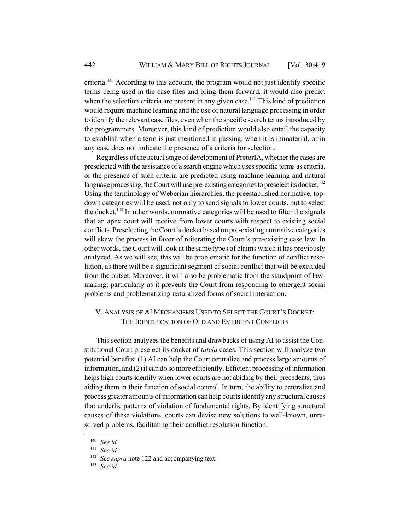criteria.140 According to this account, the program would not just identify specific terms being used in the case files and bring them forward, it would also predict when the selection criteria are present in any given case.<sup>141</sup> This kind of prediction would require machine learning and the use of natural language processing in order to identify the relevant case files, even when the specific search terms introduced by the programmers. Moreover, this kind of prediction would also entail the capacity to establish when a term is just mentioned in passing, when it is immaterial, or in any case does not indicate the presence of a criteria for selection.

Regardless of the actual stage of development of PretorIA, whether the cases are preselected with the assistance of a search engine which uses specific terms as criteria, or the presence of such criteria are predicted using machine learning and natural language processing, the Court will use pre-existing categories to preselect its docket.<sup>142</sup> Using the terminology of Weberian hierarchies, the preestablished normative, topdown categories will be used, not only to send signals to lower courts, but to select the docket.<sup>143</sup> In other words, normative categories will be used to filter the signals that an apex court will receive from lower courts with respect to existing social conflicts. Preselecting the Court's docket based on pre-existing normative categories will skew the process in favor of reiterating the Court's pre-existing case law. In other words, the Court will look at the same types of claims which it has previously analyzed. As we will see, this will be problematic for the function of conflict resolution, as there will be a significant segment of social conflict that will be excluded from the outset. Moreover, it will also be problematic from the standpoint of lawmaking; particularly as it prevents the Court from responding to emergent social problems and problematizing naturalized forms of social interaction.

## V. ANALYSIS OF AI MECHANISMS USED TO SELECT THE COURT'S DOCKET: THE IDENTIFICATION OF OLD AND EMERGENT CONFLICTS

This section analyzes the benefits and drawbacks of using AI to assist the Constitutional Court preselect its docket of *tutela* cases. This section will analyze two potential benefits: (1) AI can help the Court centralize and process large amounts of information, and (2) it can do so more efficiently. Efficient processing of information helps high courts identify when lower courts are not abiding by their precedents, thus aiding them in their function of social control. In turn, the ability to centralize and process greater amounts of information can help courts identify any structural causes that underlie patterns of violation of fundamental rights. By identifying structural causes of these violations, courts can devise new solutions to well-known, unresolved problems, facilitating their conflict resolution function.

<sup>140</sup> *See id.*

<sup>141</sup> *See id.*

<sup>&</sup>lt;sup>142</sup> *See supra* note 122 and accompanying text.

<sup>143</sup> *See id.*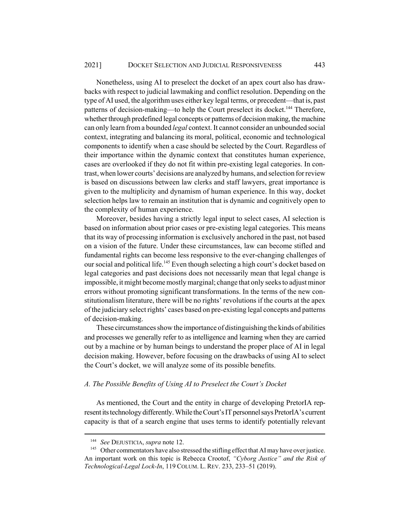Nonetheless, using AI to preselect the docket of an apex court also has drawbacks with respect to judicial lawmaking and conflict resolution. Depending on the type of AI used, the algorithm uses either key legal terms, or precedent—that is, past patterns of decision-making—to help the Court preselect its docket.<sup>144</sup> Therefore, whether through predefined legal concepts or patterns of decision making, the machine can only learn from a bounded *legal* context. It cannot consider an unbounded social context, integrating and balancing its moral, political, economic and technological components to identify when a case should be selected by the Court. Regardless of their importance within the dynamic context that constitutes human experience, cases are overlooked if they do not fit within pre-existing legal categories. In contrast, when lower courts' decisions are analyzed by humans, and selection for review is based on discussions between law clerks and staff lawyers, great importance is given to the multiplicity and dynamism of human experience. In this way, docket selection helps law to remain an institution that is dynamic and cognitively open to the complexity of human experience.

Moreover, besides having a strictly legal input to select cases, AI selection is based on information about prior cases or pre-existing legal categories. This means that its way of processing information is exclusively anchored in the past, not based on a vision of the future. Under these circumstances, law can become stifled and fundamental rights can become less responsive to the ever-changing challenges of our social and political life.<sup>145</sup> Even though selecting a high court's docket based on legal categories and past decisions does not necessarily mean that legal change is impossible, it might become mostly marginal; change that only seeks to adjust minor errors without promoting significant transformations. In the terms of the new constitutionalism literature, there will be no rights' revolutions if the courts at the apex of the judiciary select rights' cases based on pre-existing legal concepts and patterns of decision-making.

These circumstances show the importance of distinguishing the kinds of abilities and processes we generally refer to as intelligence and learning when they are carried out by a machine or by human beings to understand the proper place of AI in legal decision making. However, before focusing on the drawbacks of using AI to select the Court's docket, we will analyze some of its possible benefits.

### *A. The Possible Benefits of Using AI to Preselect the Court's Docket*

As mentioned, the Court and the entity in charge of developing PretorIA represent its technology differently. While the Court's IT personnel says PretorIA's current capacity is that of a search engine that uses terms to identify potentially relevant

<sup>144</sup> *See* DEJUSTICIA, *supra* note 12.

<sup>&</sup>lt;sup>145</sup> Other commentators have also stressed the stifling effect that AI may have over justice. An important work on this topic is Rebecca Crootof, *"Cyborg Justice" and the Risk of Technological-Legal Lock-In*, 119 COLUM. L. REV. 233, 233–51 (2019).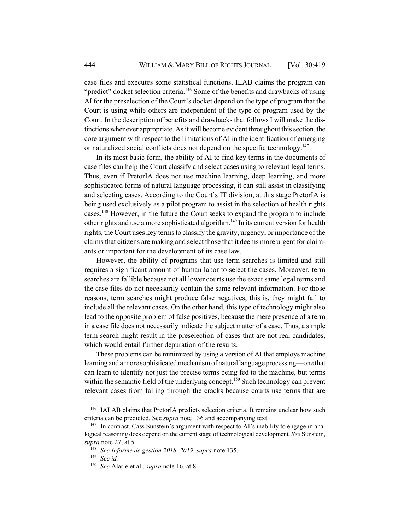case files and executes some statistical functions, ILAB claims the program can "predict" docket selection criteria.<sup>146</sup> Some of the benefits and drawbacks of using AI for the preselection of the Court's docket depend on the type of program that the Court is using while others are independent of the type of program used by the Court. In the description of benefits and drawbacks that follows I will make the distinctions whenever appropriate. As it will become evident throughout this section, the core argument with respect to the limitations of AI in the identification of emerging or naturalized social conflicts does not depend on the specific technology.<sup>147</sup>

In its most basic form, the ability of AI to find key terms in the documents of case files can help the Court classify and select cases using to relevant legal terms. Thus, even if PretorIA does not use machine learning, deep learning, and more sophisticated forms of natural language processing, it can still assist in classifying and selecting cases. According to the Court's IT division, at this stage PretorIA is being used exclusively as a pilot program to assist in the selection of health rights cases.148 However, in the future the Court seeks to expand the program to include other rights and use a more sophisticated algorithm.<sup>149</sup> In its current version for health rights, the Court uses key terms to classify the gravity, urgency, or importance of the claims that citizens are making and select those that it deems more urgent for claimants or important for the development of its case law.

However, the ability of programs that use term searches is limited and still requires a significant amount of human labor to select the cases. Moreover, term searches are fallible because not all lower courts use the exact same legal terms and the case files do not necessarily contain the same relevant information. For those reasons, term searches might produce false negatives, this is, they might fail to include all the relevant cases. On the other hand, this type of technology might also lead to the opposite problem of false positives, because the mere presence of a term in a case file does not necessarily indicate the subject matter of a case. Thus, a simple term search might result in the preselection of cases that are not real candidates, which would entail further depuration of the results.

These problems can be minimized by using a version of AI that employs machine learning and a more sophisticated mechanism of natural language processing—one that can learn to identify not just the precise terms being fed to the machine, but terms within the semantic field of the underlying concept.<sup>150</sup> Such technology can prevent relevant cases from falling through the cracks because courts use terms that are

<sup>&</sup>lt;sup>146</sup> IALAB claims that PretorIA predicts selection criteria. It remains unclear how such criteria can be predicted. See *supra* note 136 and accompanying text.

 $147$  In contrast, Cass Sunstein's argument with respect to AI's inability to engage in analogical reasoning does depend on the current stage of technological development. *See* Sunstein, *supra* note 27, at 5.

<sup>148</sup> *See Informe de gestión 2018–2019*, *supra* note 135.

<sup>149</sup> *See id.*

<sup>150</sup> *See* Alarie et al., *supra* note 16, at 8.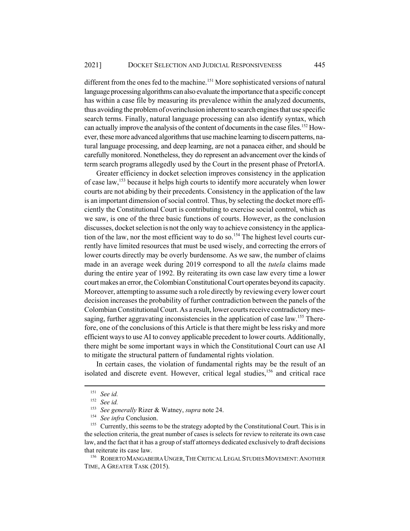different from the ones fed to the machine.<sup>151</sup> More sophisticated versions of natural language processing algorithms can also evaluate the importance that a specific concept has within a case file by measuring its prevalence within the analyzed documents, thus avoiding the problem of overinclusion inherent to search engines that use specific search terms. Finally, natural language processing can also identify syntax, which can actually improve the analysis of the content of documents in the case files.<sup>152</sup> However, these more advanced algorithms that use machine learning to discern patterns, natural language processing, and deep learning, are not a panacea either, and should be carefully monitored. Nonetheless, they do represent an advancement over the kinds of term search programs allegedly used by the Court in the present phase of PretorIA.

Greater efficiency in docket selection improves consistency in the application of case law,153 because it helps high courts to identify more accurately when lower courts are not abiding by their precedents. Consistency in the application of the law is an important dimension of social control. Thus, by selecting the docket more efficiently the Constitutional Court is contributing to exercise social control, which as we saw, is one of the three basic functions of courts. However, as the conclusion discusses, docket selection is not the only way to achieve consistency in the application of the law, nor the most efficient way to do so.<sup>154</sup> The highest level courts currently have limited resources that must be used wisely, and correcting the errors of lower courts directly may be overly burdensome. As we saw, the number of claims made in an average week during 2019 correspond to all the *tutela* claims made during the entire year of 1992. By reiterating its own case law every time a lower court makes an error, the Colombian Constitutional Court operates beyond its capacity. Moreover, attempting to assume such a role directly by reviewing every lower court decision increases the probability of further contradiction between the panels of the Colombian Constitutional Court. As a result, lower courts receive contradictory messaging, further aggravating inconsistencies in the application of case law.<sup>155</sup> Therefore, one of the conclusions of this Article is that there might be less risky and more efficient ways to use AI to convey applicable precedent to lower courts. Additionally, there might be some important ways in which the Constitutional Court can use AI to mitigate the structural pattern of fundamental rights violation.

In certain cases, the violation of fundamental rights may be the result of an isolated and discrete event. However, critical legal studies,<sup>156</sup> and critical race

<sup>156</sup> ROBERTO MANGABEIRA UNGER,THE CRITICAL LEGAL STUDIES MOVEMENT:ANOTHER TIME, A GREATER TASK (2015).

<sup>151</sup> *See id.*

<sup>152</sup> *See id.*

<sup>153</sup> *See generally* Rizer & Watney, *supra* note 24.

<sup>154</sup> *See infra* Conclusion.

<sup>&</sup>lt;sup>155</sup> Currently, this seems to be the strategy adopted by the Constitutional Court. This is in the selection criteria, the great number of cases is selects for review to reiterate its own case law, and the fact that it has a group of staff attorneys dedicated exclusively to draft decisions that reiterate its case law.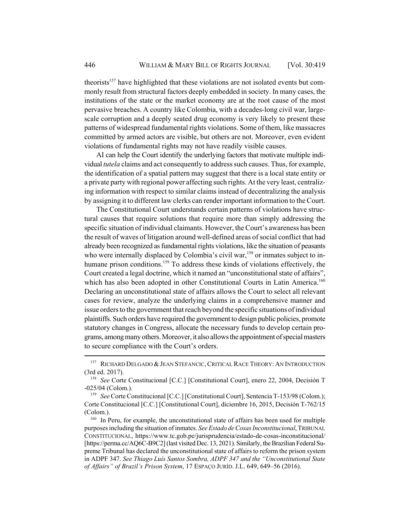theorists<sup>157</sup> have highlighted that these violations are not isolated events but commonly result from structural factors deeply embedded in society. In many cases, the institutions of the state or the market economy are at the root cause of the most pervasive breaches. A country like Colombia, with a decades-long civil war, largescale corruption and a deeply seated drug economy is very likely to present these patterns of widespread fundamental rights violations. Some of them, like massacres committed by armed actors are visible, but others are not. Moreover, even evident violations of fundamental rights may not have readily visible causes.

AI can help the Court identify the underlying factors that motivate multiple individual *tutela* claims and act consequently to address such causes. Thus, for example, the identification of a spatial pattern may suggest that there is a local state entity or a private party with regional power affecting such rights. At the very least, centralizing information with respect to similar claims instead of decentralizing the analysis by assigning it to different law clerks can render important information to the Court.

The Constitutional Court understands certain patterns of violations have structural causes that require solutions that require more than simply addressing the specific situation of individual claimants. However, the Court's awareness has been the result of waves of litigation around well-defined areas of social conflict that had already been recognized as fundamental rights violations, like the situation of peasants who were internally displaced by Colombia's civil war,<sup>158</sup> or inmates subject to inhumane prison conditions.<sup>159</sup> To address these kinds of violations effectively, the Court created a legal doctrine, which it named an "unconstitutional state of affairs", which has also been adopted in other Constitutional Courts in Latin America.<sup>160</sup> Declaring an unconstitutional state of affairs allows the Court to select all relevant cases for review, analyze the underlying claims in a comprehensive manner and issue orders to the government that reach beyond the specific situations of individual plaintiffs. Such orders have required the government to design public policies, promote statutory changes in Congress, allocate the necessary funds to develop certain programs, among many others. Moreover, it also allows the appointment of special masters to secure compliance with the Court's orders.

<sup>&</sup>lt;sup>157</sup> RICHARD DELGADO & JEAN STEFANCIC, CRITICAL RACE THEORY: AN INTRODUCTION (3rd ed. 2017).

<sup>&</sup>lt;sup>158</sup> *See* Corte Constitucional [C.C.] [Constitutional Court], enero 22, 2004, Decisión T -025/04 (Colom.).

<sup>&</sup>lt;sup>159</sup> *See* Corte Constitucional [C.C.] [Constitutional Court], Sentencia T-153/98 (Colom.); Corte Constitucional [C.C.] [Constitutional Court], diciembre 16, 2015, Decisión T-762/15 (Colom.).

<sup>&</sup>lt;sup>160</sup> In Peru, for example, the unconstitutional state of affairs has been used for multiple purposes including the situation of inmates. *SeeEstado de Cosas Inconstitucional*, TRIBUNAL CONSTITUCIONAL, https://www.tc.gob.pe/jurisprudencia/estado-de-cosas-inconstitucional/ [https://perma.cc/AQ6C-B9C2] (last visited Dec. 13, 2021). Similarly, the Brazilian Federal Supreme Tribunal has declared the unconstitutional state of affairs to reform the prison system in ADPF 347. *See Thiago Luís Santos Sombra, ADPF 347 and the "Unconstitutional State of Affairs" of Brazil's Prison System*, 17 ESPAÇO JURÍD. J.L. 649, 649–56 (2016).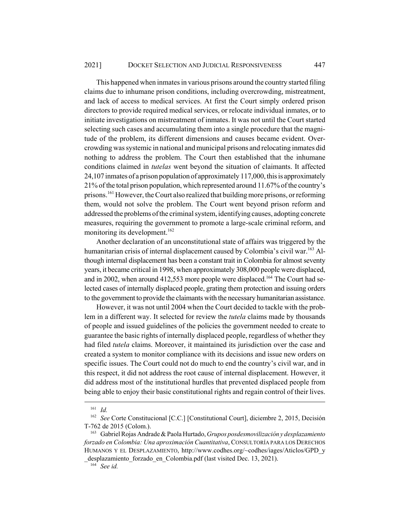This happened when inmates in various prisons around the country started filing claims due to inhumane prison conditions, including overcrowding, mistreatment, and lack of access to medical services. At first the Court simply ordered prison directors to provide required medical services, or relocate individual inmates, or to initiate investigations on mistreatment of inmates. It was not until the Court started selecting such cases and accumulating them into a single procedure that the magnitude of the problem, its different dimensions and causes became evident. Overcrowding was systemic in national and municipal prisons and relocating inmates did nothing to address the problem. The Court then established that the inhumane conditions claimed in *tutelas* went beyond the situation of claimants. It affected 24,107 inmates of a prison population of approximately 117,000, this is approximately 21% of the total prison population, which represented around 11.67% of the country's prisons.161 However, the Court also realized that building more prisons, or reforming them, would not solve the problem. The Court went beyond prison reform and addressed the problems of the criminal system, identifying causes, adopting concrete measures, requiring the government to promote a large-scale criminal reform, and monitoring its development.<sup>162</sup>

Another declaration of an unconstitutional state of affairs was triggered by the humanitarian crisis of internal displacement caused by Colombia's civil war.<sup>163</sup> Although internal displacement has been a constant trait in Colombia for almost seventy years, it became critical in 1998, when approximately 308,000 people were displaced, and in 2002, when around 412,553 more people were displaced.<sup>164</sup> The Court had selected cases of internally displaced people, grating them protection and issuing orders to the government to provide the claimants with the necessary humanitarian assistance.

However, it was not until 2004 when the Court decided to tackle with the problem in a different way. It selected for review the *tutela* claims made by thousands of people and issued guidelines of the policies the government needed to create to guarantee the basic rights of internally displaced people, regardless of whether they had filed *tutela* claims. Moreover, it maintained its jurisdiction over the case and created a system to monitor compliance with its decisions and issue new orders on specific issues. The Court could not do much to end the country's civil war, and in this respect, it did not address the root cause of internal displacement. However, it did address most of the institutional hurdles that prevented displaced people from being able to enjoy their basic constitutional rights and regain control of their lives.

<sup>161</sup> *Id.*

<sup>162</sup> *See* Corte Constitucional [C.C.] [Constitutional Court], diciembre 2, 2015, Decisión T-762 de 2015 (Colom.).

<sup>163</sup> Gabriel Rojas Andrade & Paola Hurtado, *Grupos posdesmovilización y desplazamiento forzado en Colombia: Una aproximación Cuantitativa*, CONSULTORÍA PARA LOS DERECHOS HUMANOS Y EL DESPLAZAMIENTO, http://www.codhes.org/~codhes/iages/Aticlos/GPD\_y desplazamiento forzado en Colombia.pdf (last visited Dec. 13, 2021).

<sup>164</sup> *See id.*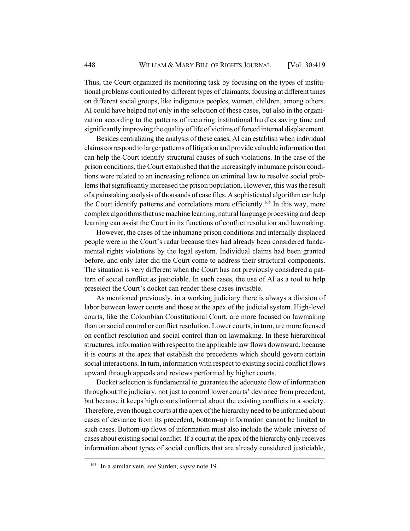Thus, the Court organized its monitoring task by focusing on the types of institutional problems confronted by different types of claimants, focusing at different times on different social groups, like indigenous peoples, women, children, among others. AI could have helped not only in the selection of these cases, but also in the organization according to the patterns of recurring institutional hurdles saving time and significantly improving the quality of life of victims of forced internal displacement.

Besides centralizing the analysis of these cases, AI can establish when individual claims correspond to larger patterns of litigation and provide valuable information that can help the Court identify structural causes of such violations. In the case of the prison conditions, the Court established that the increasingly inhumane prison conditions were related to an increasing reliance on criminal law to resolve social problems that significantly increased the prison population. However, this was the result of a painstaking analysis of thousands of case files. A sophisticated algorithm can help the Court identify patterns and correlations more efficiently.165 In this way, more complex algorithms that use machine learning, natural language processing and deep learning can assist the Court in its functions of conflict resolution and lawmaking.

However, the cases of the inhumane prison conditions and internally displaced people were in the Court's radar because they had already been considered fundamental rights violations by the legal system. Individual claims had been granted before, and only later did the Court come to address their structural components. The situation is very different when the Court has not previously considered a pattern of social conflict as justiciable. In such cases, the use of AI as a tool to help preselect the Court's docket can render these cases invisible.

As mentioned previously, in a working judiciary there is always a division of labor between lower courts and those at the apex of the judicial system. High-level courts, like the Colombian Constitutional Court, are more focused on lawmaking than on social control or conflict resolution. Lower courts, in turn, are more focused on conflict resolution and social control than on lawmaking. In these hierarchical structures, information with respect to the applicable law flows downward, because it is courts at the apex that establish the precedents which should govern certain social interactions. In turn, information with respect to existing social conflict flows upward through appeals and reviews performed by higher courts.

Docket selection is fundamental to guarantee the adequate flow of information throughout the judiciary, not just to control lower courts' deviance from precedent, but because it keeps high courts informed about the existing conflicts in a society. Therefore, even though courts at the apex of the hierarchy need to be informed about cases of deviance from its precedent, bottom-up information cannot be limited to such cases. Bottom-up flows of information must also include the whole universe of cases about existing social conflict. If a court at the apex of the hierarchy only receives information about types of social conflicts that are already considered justiciable,

<sup>165</sup> In a similar vein, *see* Surden, *supra* note 19.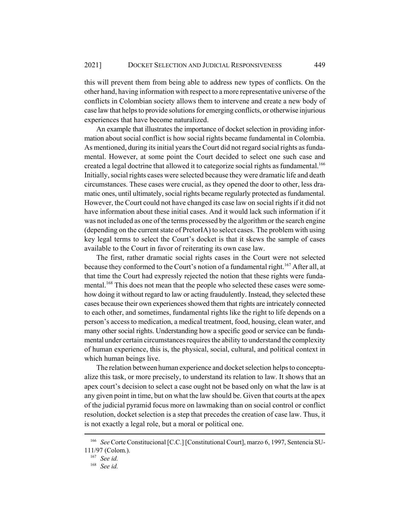this will prevent them from being able to address new types of conflicts. On the other hand, having information with respect to a more representative universe of the conflicts in Colombian society allows them to intervene and create a new body of case law that helps to provide solutions for emerging conflicts, or otherwise injurious experiences that have become naturalized.

An example that illustrates the importance of docket selection in providing information about social conflict is how social rights became fundamental in Colombia. As mentioned, during its initial years the Court did not regard social rights as fundamental. However, at some point the Court decided to select one such case and created a legal doctrine that allowed it to categorize social rights as fundamental.<sup>166</sup> Initially, social rights cases were selected because they were dramatic life and death circumstances. These cases were crucial, as they opened the door to other, less dramatic ones, until ultimately, social rights became regularly protected as fundamental. However, the Court could not have changed its case law on social rights if it did not have information about these initial cases. And it would lack such information if it was not included as one of the terms processed by the algorithm or the search engine (depending on the current state of PretorIA) to select cases. The problem with using key legal terms to select the Court's docket is that it skews the sample of cases available to the Court in favor of reiterating its own case law.

The first, rather dramatic social rights cases in the Court were not selected because they conformed to the Court's notion of a fundamental right.<sup>167</sup> After all, at that time the Court had expressly rejected the notion that these rights were fundamental.<sup>168</sup> This does not mean that the people who selected these cases were somehow doing it without regard to law or acting fraudulently. Instead, they selected these cases because their own experiences showed them that rights are intricately connected to each other, and sometimes, fundamental rights like the right to life depends on a person's access to medication, a medical treatment, food, housing, clean water, and many other social rights. Understanding how a specific good or service can be fundamental under certain circumstances requires the ability to understand the complexity of human experience, this is, the physical, social, cultural, and political context in which human beings live.

The relation between human experience and docket selection helps to conceptualize this task, or more precisely, to understand its relation to law. It shows that an apex court's decision to select a case ought not be based only on what the law is at any given point in time, but on what the law should be. Given that courts at the apex of the judicial pyramid focus more on lawmaking than on social control or conflict resolution, docket selection is a step that precedes the creation of case law. Thus, it is not exactly a legal role, but a moral or political one.

<sup>166</sup> *See* Corte Constitucional [C.C.] [Constitutional Court], marzo 6, 1997, Sentencia SU-111/97 (Colom.).

<sup>167</sup> *See id.*

<sup>168</sup> *See id.*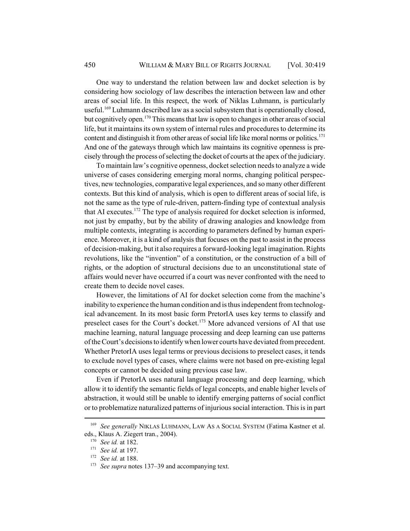One way to understand the relation between law and docket selection is by considering how sociology of law describes the interaction between law and other areas of social life. In this respect, the work of Niklas Luhmann, is particularly useful.<sup>169</sup> Luhmann described law as a social subsystem that is operationally closed, but cognitively open.<sup>170</sup> This means that law is open to changes in other areas of social life, but it maintains its own system of internal rules and procedures to determine its content and distinguish it from other areas of social life like moral norms or politics.<sup>171</sup> And one of the gateways through which law maintains its cognitive openness is precisely through the process of selecting the docket of courts at the apex of the judiciary.

To maintain law's cognitive openness, docket selection needs to analyze a wide universe of cases considering emerging moral norms, changing political perspectives, new technologies, comparative legal experiences, and so many other different contexts. But this kind of analysis, which is open to different areas of social life, is not the same as the type of rule-driven, pattern-finding type of contextual analysis that AI executes.<sup>172</sup> The type of analysis required for docket selection is informed, not just by empathy, but by the ability of drawing analogies and knowledge from multiple contexts, integrating is according to parameters defined by human experience. Moreover, it is a kind of analysis that focuses on the past to assist in the process of decision-making, but it also requires a forward-looking legal imagination. Rights revolutions, like the "invention" of a constitution, or the construction of a bill of rights, or the adoption of structural decisions due to an unconstitutional state of affairs would never have occurred if a court was never confronted with the need to create them to decide novel cases.

However, the limitations of AI for docket selection come from the machine's inability to experience the human condition and is thus independent from technological advancement. In its most basic form PretorIA uses key terms to classify and preselect cases for the Court's docket.<sup>173</sup> More advanced versions of AI that use machine learning, natural language processing and deep learning can use patterns of the Court's decisions to identify when lower courts have deviated from precedent. Whether PretorIA uses legal terms or previous decisions to preselect cases, it tends to exclude novel types of cases, where claims were not based on pre-existing legal concepts or cannot be decided using previous case law.

Even if PretorIA uses natural language processing and deep learning, which allow it to identify the semantic fields of legal concepts, and enable higher levels of abstraction, it would still be unable to identify emerging patterns of social conflict or to problematize naturalized patterns of injurious social interaction. This is in part

<sup>&</sup>lt;sup>169</sup> *See generally* NIKLAS LUHMANN, LAW AS A SOCIAL SYSTEM (Fatima Kastner et al. eds., Klaus A. Ziegert tran., 2004).

<sup>170</sup> *See id.* at 182.

<sup>171</sup> *See id.* at 197.

<sup>172</sup> *See id.* at 188.

<sup>&</sup>lt;sup>173</sup> *See supra* notes 137–39 and accompanying text.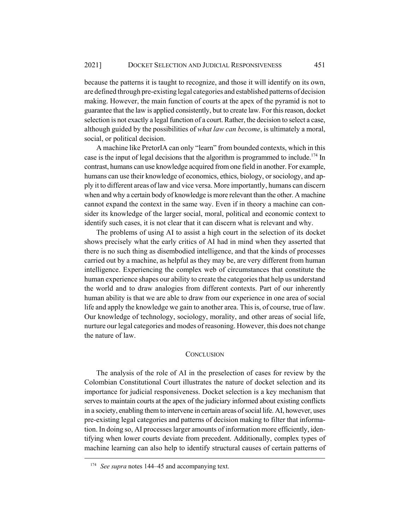because the patterns it is taught to recognize, and those it will identify on its own, are defined through pre-existing legal categories and established patterns of decision making. However, the main function of courts at the apex of the pyramid is not to guarantee that the law is applied consistently, but to create law. For this reason, docket selection is not exactly a legal function of a court. Rather, the decision to select a case, although guided by the possibilities of *what law can become*, is ultimately a moral, social, or political decision.

A machine like PretorIA can only "learn" from bounded contexts, which in this case is the input of legal decisions that the algorithm is programmed to include.<sup>174</sup> In contrast, humans can use knowledge acquired from one field in another. For example, humans can use their knowledge of economics, ethics, biology, or sociology, and apply it to different areas of law and vice versa. More importantly, humans can discern when and why a certain body of knowledge is more relevant than the other. A machine cannot expand the context in the same way. Even if in theory a machine can consider its knowledge of the larger social, moral, political and economic context to identify such cases, it is not clear that it can discern what is relevant and why.

The problems of using AI to assist a high court in the selection of its docket shows precisely what the early critics of AI had in mind when they asserted that there is no such thing as disembodied intelligence, and that the kinds of processes carried out by a machine, as helpful as they may be, are very different from human intelligence. Experiencing the complex web of circumstances that constitute the human experience shapes our ability to create the categories that help us understand the world and to draw analogies from different contexts. Part of our inherently human ability is that we are able to draw from our experience in one area of social life and apply the knowledge we gain to another area. This is, of course, true of law. Our knowledge of technology, sociology, morality, and other areas of social life, nurture our legal categories and modes of reasoning. However, this does not change the nature of law.

### **CONCLUSION**

The analysis of the role of AI in the preselection of cases for review by the Colombian Constitutional Court illustrates the nature of docket selection and its importance for judicial responsiveness. Docket selection is a key mechanism that serves to maintain courts at the apex of the judiciary informed about existing conflicts in a society, enabling them to intervene in certain areas of social life. AI, however, uses pre-existing legal categories and patterns of decision making to filter that information. In doing so, AI processes larger amounts of information more efficiently, identifying when lower courts deviate from precedent. Additionally, complex types of machine learning can also help to identify structural causes of certain patterns of

<sup>&</sup>lt;sup>174</sup> *See supra* notes 144–45 and accompanying text.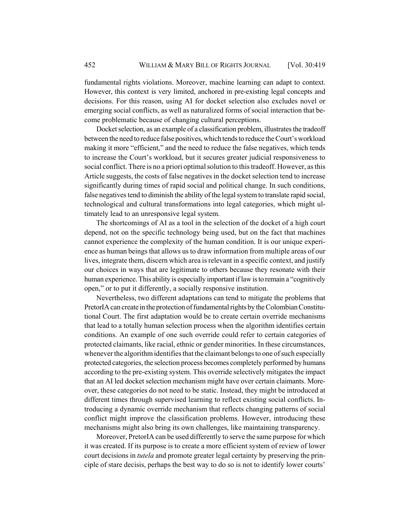fundamental rights violations. Moreover, machine learning can adapt to context. However, this context is very limited, anchored in pre-existing legal concepts and decisions. For this reason, using AI for docket selection also excludes novel or emerging social conflicts, as well as naturalized forms of social interaction that become problematic because of changing cultural perceptions.

Docket selection, as an example of a classification problem, illustrates the tradeoff between the need to reduce false positives, which tends to reduce the Court's workload making it more "efficient," and the need to reduce the false negatives, which tends to increase the Court's workload, but it secures greater judicial responsiveness to social conflict. There is no a priori optimal solution to this tradeoff. However, as this Article suggests, the costs of false negatives in the docket selection tend to increase significantly during times of rapid social and political change. In such conditions, false negatives tend to diminish the ability of the legal system to translate rapid social, technological and cultural transformations into legal categories, which might ultimately lead to an unresponsive legal system.

The shortcomings of AI as a tool in the selection of the docket of a high court depend, not on the specific technology being used, but on the fact that machines cannot experience the complexity of the human condition. It is our unique experience as human beings that allows us to draw information from multiple areas of our lives, integrate them, discern which area is relevant in a specific context, and justify our choices in ways that are legitimate to others because they resonate with their human experience. This ability is especially important if law is to remain a "cognitively open," or to put it differently, a socially responsive institution.

Nevertheless, two different adaptations can tend to mitigate the problems that PretorIA can create in the protection of fundamental rights by the Colombian Constitutional Court. The first adaptation would be to create certain override mechanisms that lead to a totally human selection process when the algorithm identifies certain conditions. An example of one such override could refer to certain categories of protected claimants, like racial, ethnic or gender minorities. In these circumstances, whenever the algorithm identifies that the claimant belongs to one of such especially protected categories, the selection process becomes completely performed by humans according to the pre-existing system. This override selectively mitigates the impact that an AI led docket selection mechanism might have over certain claimants. Moreover, these categories do not need to be static. Instead, they might be introduced at different times through supervised learning to reflect existing social conflicts. Introducing a dynamic override mechanism that reflects changing patterns of social conflict might improve the classification problems. However, introducing these mechanisms might also bring its own challenges, like maintaining transparency.

Moreover, PretorIA can be used differently to serve the same purpose for which it was created. If its purpose is to create a more efficient system of review of lower court decisions in *tutela* and promote greater legal certainty by preserving the principle of stare decisis, perhaps the best way to do so is not to identify lower courts'